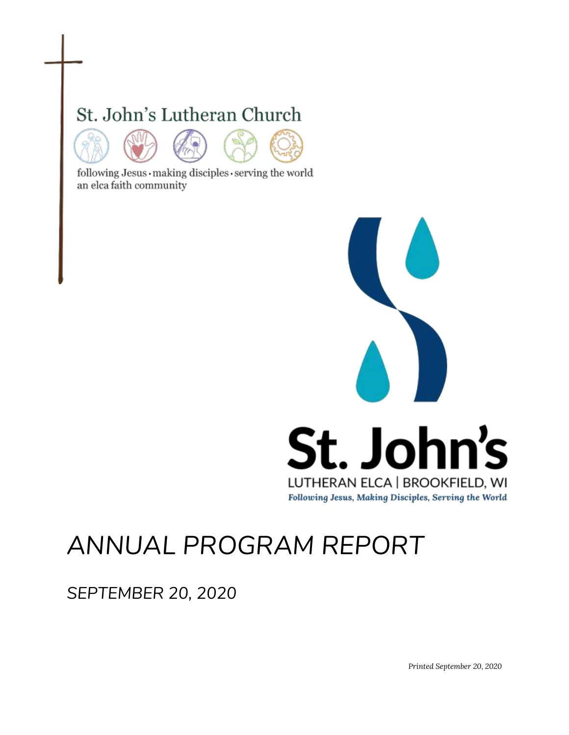## St. John's Lutheran Church



following Jesus · making disciples · serving the world an elca faith community



# *ANNUAL PROGRAM REPORT*

*SEPTEMBER 20, 2020*

*Printed September 20, 2020*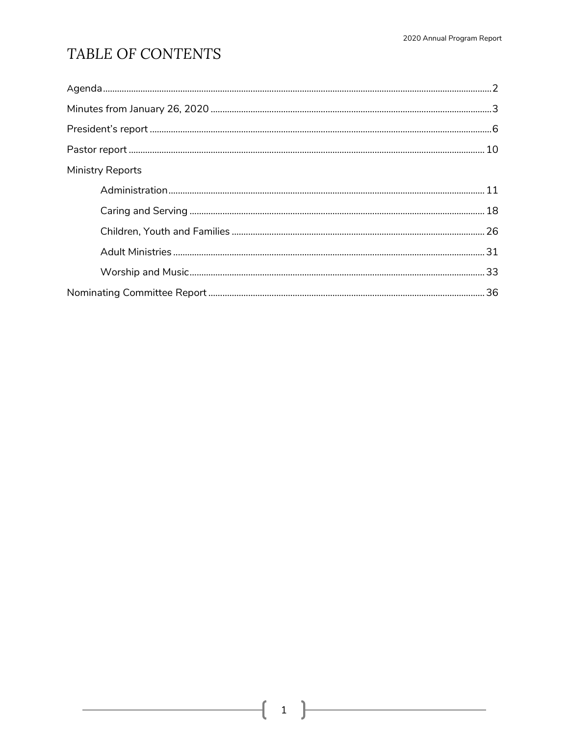### TABLE OF CONTENTS

| Ministry Reports |  |
|------------------|--|
|                  |  |
|                  |  |
|                  |  |
|                  |  |
|                  |  |
|                  |  |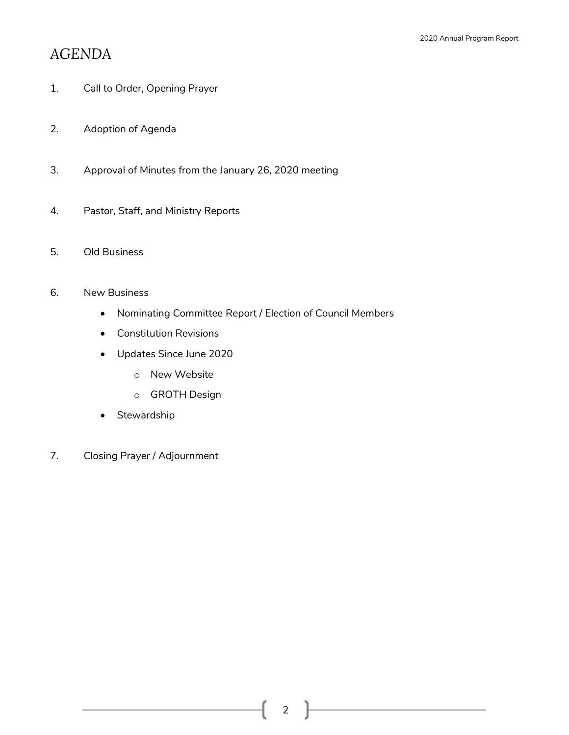### *AGENDA*

- 1. Call to Order, Opening Prayer
- 2. Adoption of Agenda
- 3. Approval of Minutes from the January 26, 2020 meeting
- 4. Pastor, Staff, and Ministry Reports
- 5. Old Business
- 6. New Business
	- Nominating Committee Report / Election of Council Members
	- Constitution Revisions
	- Updates Since June 2020
		- o New Website
		- o GROTH Design
	- Stewardship
- 7. Closing Prayer / Adjournment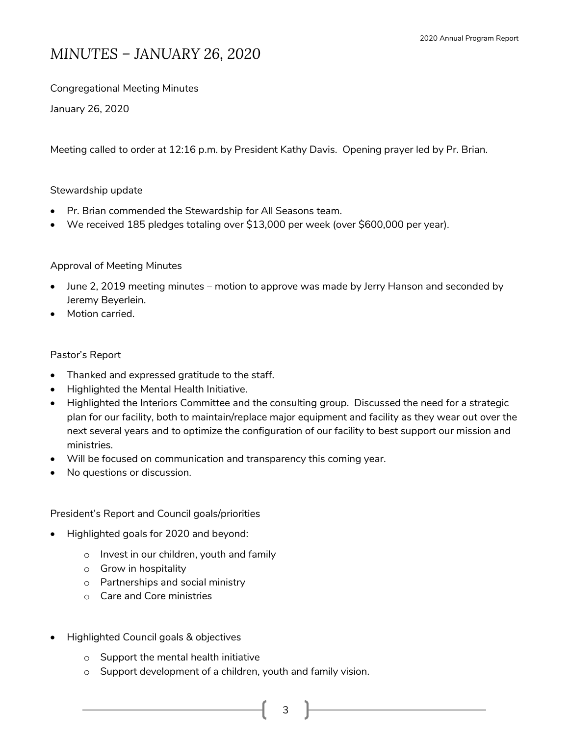### *MINUTES – JANUARY 26, 2020*

Congregational Meeting Minutes

January 26, 2020

Meeting called to order at 12:16 p.m. by President Kathy Davis. Opening prayer led by Pr. Brian.

#### Stewardship update

- Pr. Brian commended the Stewardship for All Seasons team.
- We received 185 pledges totaling over \$13,000 per week (over \$600,000 per year).

#### Approval of Meeting Minutes

- June 2, 2019 meeting minutes motion to approve was made by Jerry Hanson and seconded by Jeremy Beyerlein.
- Motion carried.

#### Pastor's Report

- Thanked and expressed gratitude to the staff.
- Highlighted the Mental Health Initiative.
- Highlighted the Interiors Committee and the consulting group. Discussed the need for a strategic plan for our facility, both to maintain/replace major equipment and facility as they wear out over the next several years and to optimize the configuration of our facility to best support our mission and ministries.
- Will be focused on communication and transparency this coming year.
- No questions or discussion.

#### President's Report and Council goals/priorities

- Highlighted goals for 2020 and beyond:
	- o Invest in our children, youth and family
	- o Grow in hospitality
	- o Partnerships and social ministry
	- o Care and Core ministries
- Highlighted Council goals & objectives
	- o Support the mental health initiative
	- o Support development of a children, youth and family vision.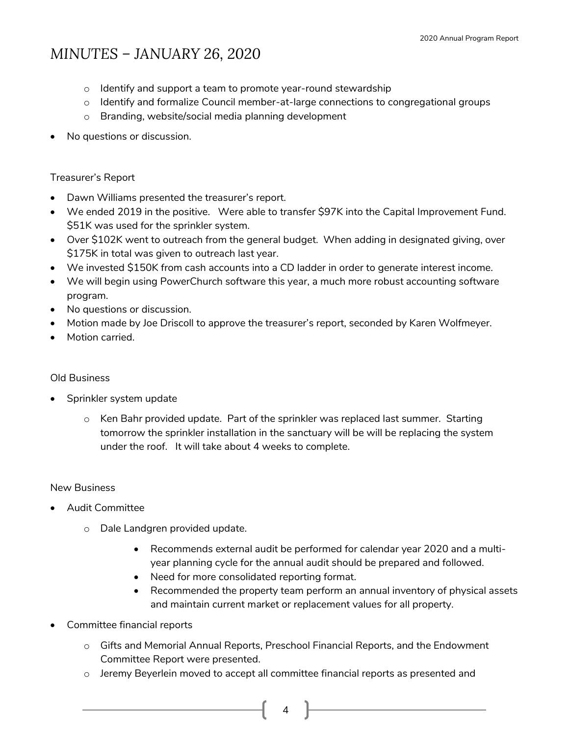### *MINUTES – JANUARY 26, 2020*

- o Identify and support a team to promote year-round stewardship
- o Identify and formalize Council member-at-large connections to congregational groups
- o Branding, website/social media planning development
- No questions or discussion.

#### Treasurer's Report

- Dawn Williams presented the treasurer's report.
- We ended 2019 in the positive. Were able to transfer \$97K into the Capital Improvement Fund. \$51K was used for the sprinkler system.
- Over \$102K went to outreach from the general budget. When adding in designated giving, over \$175K in total was given to outreach last year.
- We invested \$150K from cash accounts into a CD ladder in order to generate interest income.
- We will begin using PowerChurch software this year, a much more robust accounting software program.
- No questions or discussion.
- Motion made by Joe Driscoll to approve the treasurer's report, seconded by Karen Wolfmeyer.
- Motion carried.

#### Old Business

- Sprinkler system update
	- $\circ$  Ken Bahr provided update. Part of the sprinkler was replaced last summer. Starting tomorrow the sprinkler installation in the sanctuary will be will be replacing the system under the roof. It will take about 4 weeks to complete.

#### New Business

- Audit Committee
	- o Dale Landgren provided update.
		- Recommends external audit be performed for calendar year 2020 and a multiyear planning cycle for the annual audit should be prepared and followed.
		- Need for more consolidated reporting format.
		- Recommended the property team perform an annual inventory of physical assets and maintain current market or replacement values for all property.
- Committee financial reports
	- o Gifts and Memorial Annual Reports, Preschool Financial Reports, and the Endowment Committee Report were presented.
	- $\circ$  Jeremy Beyerlein moved to accept all committee financial reports as presented and
		- 4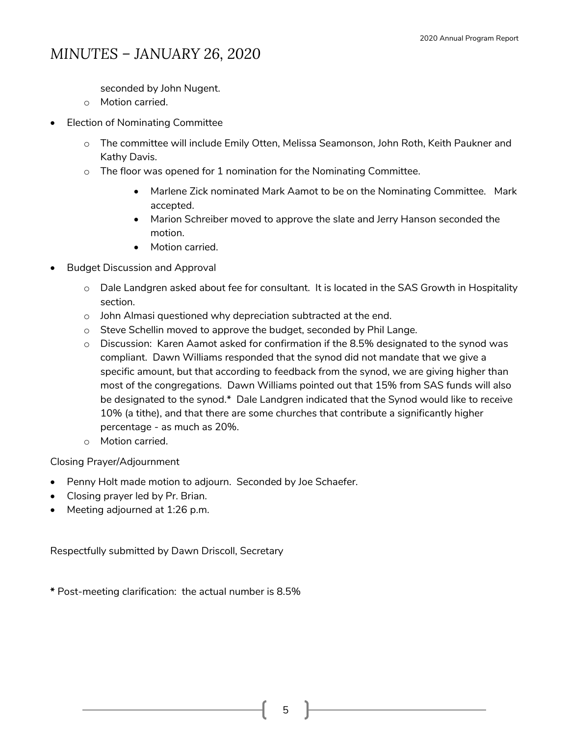### *MINUTES – JANUARY 26, 2020*

seconded by John Nugent.

- o Motion carried.
- Election of Nominating Committee
	- o The committee will include Emily Otten, Melissa Seamonson, John Roth, Keith Paukner and Kathy Davis.
	- $\circ$  The floor was opened for 1 nomination for the Nominating Committee.
		- Marlene Zick nominated Mark Aamot to be on the Nominating Committee. Mark accepted.
		- Marion Schreiber moved to approve the slate and Jerry Hanson seconded the motion.
		- Motion carried.
- Budget Discussion and Approval
	- o Dale Landgren asked about fee for consultant. It is located in the SAS Growth in Hospitality section.
	- o John Almasi questioned why depreciation subtracted at the end.
	- o Steve Schellin moved to approve the budget, seconded by Phil Lange.
	- $\circ$  Discussion: Karen Aamot asked for confirmation if the 8.5% designated to the synod was compliant. Dawn Williams responded that the synod did not mandate that we give a specific amount, but that according to feedback from the synod, we are giving higher than most of the congregations. Dawn Williams pointed out that 15% from SAS funds will also be designated to the synod.\* Dale Landgren indicated that the Synod would like to receive 10% (a tithe), and that there are some churches that contribute a significantly higher percentage - as much as 20%.
	- o Motion carried.

Closing Prayer/Adjournment

- Penny Holt made motion to adjourn. Seconded by Joe Schaefer.
- Closing prayer led by Pr. Brian.
- Meeting adjourned at 1:26 p.m.

Respectfully submitted by Dawn Driscoll, Secretary

**\*** Post-meeting clarification: the actual number is 8.5%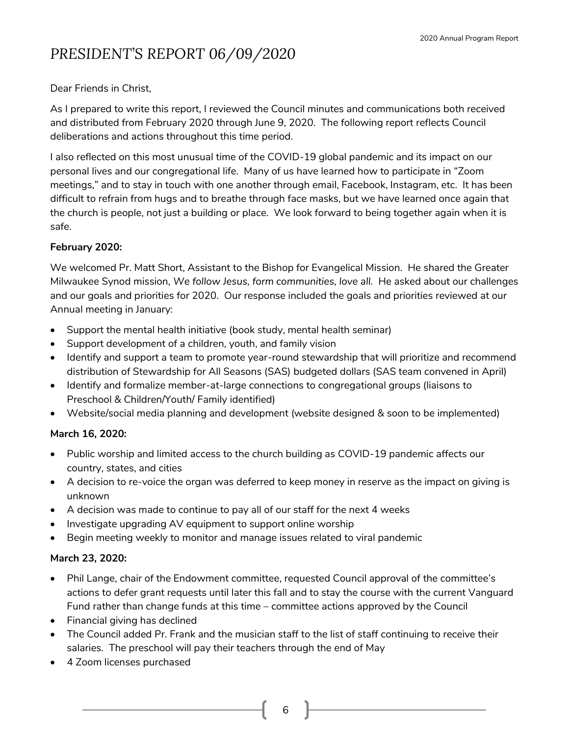#### Dear Friends in Christ,

As I prepared to write this report, I reviewed the Council minutes and communications both received and distributed from February 2020 through June 9, 2020. The following report reflects Council deliberations and actions throughout this time period.

I also reflected on this most unusual time of the COVID-19 global pandemic and its impact on our personal lives and our congregational life. Many of us have learned how to participate in "Zoom meetings," and to stay in touch with one another through email, Facebook, Instagram, etc. It has been difficult to refrain from hugs and to breathe through face masks, but we have learned once again that the church is people, not just a building or place. We look forward to being together again when it is safe.

#### **February 2020:**

We welcomed Pr. Matt Short, Assistant to the Bishop for Evangelical Mission. He shared the Greater Milwaukee Synod mission, *We follow Jesus, form communities, love all.* He asked about our challenges and our goals and priorities for 2020. Our response included the goals and priorities reviewed at our Annual meeting in January:

- Support the mental health initiative (book study, mental health seminar)
- Support development of a children, youth, and family vision
- Identify and support a team to promote year-round stewardship that will prioritize and recommend distribution of Stewardship for All Seasons (SAS) budgeted dollars (SAS team convened in April)
- Identify and formalize member-at-large connections to congregational groups (liaisons to Preschool & Children/Youth/ Family identified)
- Website/social media planning and development (website designed & soon to be implemented)

#### **March 16, 2020:**

- Public worship and limited access to the church building as COVID-19 pandemic affects our country, states, and cities
- A decision to re-voice the organ was deferred to keep money in reserve as the impact on giving is unknown
- A decision was made to continue to pay all of our staff for the next 4 weeks
- Investigate upgrading AV equipment to support online worship
- Begin meeting weekly to monitor and manage issues related to viral pandemic

#### **March 23, 2020:**

- Phil Lange, chair of the Endowment committee, requested Council approval of the committee's actions to defer grant requests until later this fall and to stay the course with the current Vanguard Fund rather than change funds at this time – committee actions approved by the Council
- Financial giving has declined
- The Council added Pr. Frank and the musician staff to the list of staff continuing to receive their salaries. The preschool will pay their teachers through the end of May
- 4 Zoom licenses purchased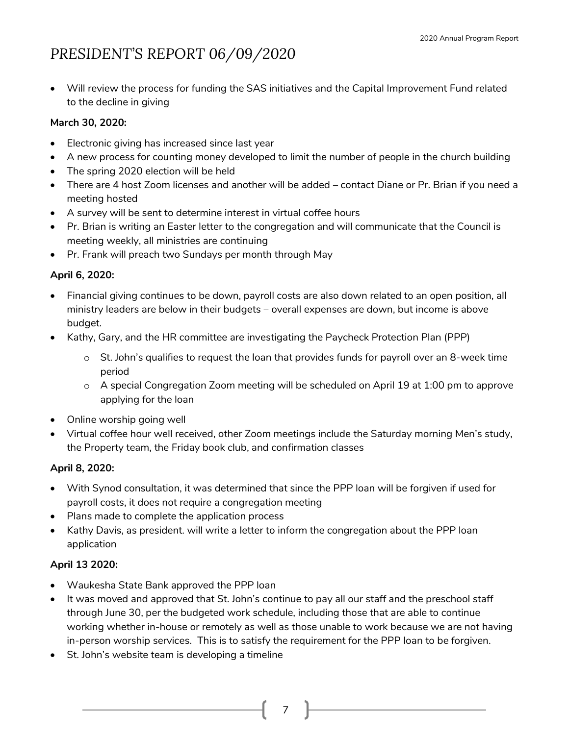Will review the process for funding the SAS initiatives and the Capital Improvement Fund related to the decline in giving

#### **March 30, 2020:**

- Electronic giving has increased since last year
- A new process for counting money developed to limit the number of people in the church building
- The spring 2020 election will be held
- There are 4 host Zoom licenses and another will be added contact Diane or Pr. Brian if you need a meeting hosted
- A survey will be sent to determine interest in virtual coffee hours
- Pr. Brian is writing an Easter letter to the congregation and will communicate that the Council is meeting weekly, all ministries are continuing
- Pr. Frank will preach two Sundays per month through May

#### **April 6, 2020:**

- Financial giving continues to be down, payroll costs are also down related to an open position, all ministry leaders are below in their budgets – overall expenses are down, but income is above budget.
- Kathy, Gary, and the HR committee are investigating the Paycheck Protection Plan (PPP)
	- $\circ$  St. John's qualifies to request the loan that provides funds for payroll over an 8-week time period
	- o A special Congregation Zoom meeting will be scheduled on April 19 at 1:00 pm to approve applying for the loan
- Online worship going well
- Virtual coffee hour well received, other Zoom meetings include the Saturday morning Men's study, the Property team, the Friday book club, and confirmation classes

#### **April 8, 2020:**

- With Synod consultation, it was determined that since the PPP loan will be forgiven if used for payroll costs, it does not require a congregation meeting
- Plans made to complete the application process
- Kathy Davis, as president. will write a letter to inform the congregation about the PPP loan application

#### **April 13 2020:**

- Waukesha State Bank approved the PPP loan
- It was moved and approved that St. John's continue to pay all our staff and the preschool staff through June 30, per the budgeted work schedule, including those that are able to continue working whether in-house or remotely as well as those unable to work because we are not having in-person worship services. This is to satisfy the requirement for the PPP loan to be forgiven.

7

St. John's website team is developing a timeline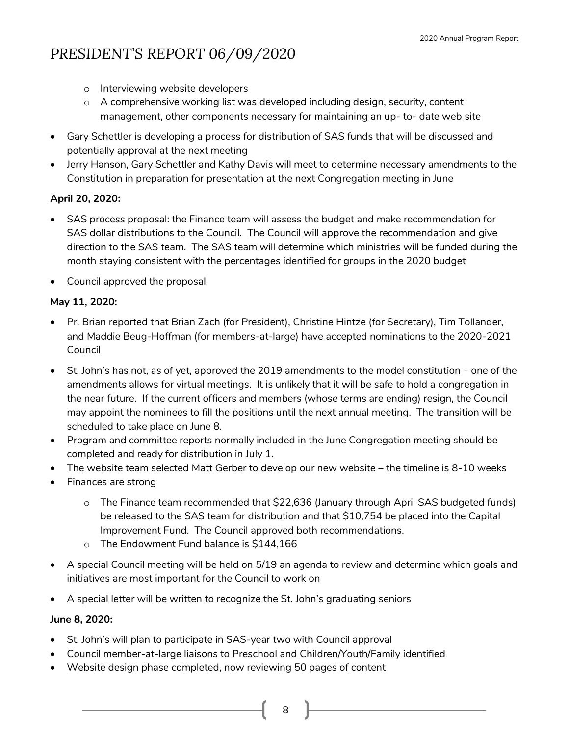- o Interviewing website developers
- $\circ$  A comprehensive working list was developed including design, security, content management, other components necessary for maintaining an up- to- date web site
- Gary Schettler is developing a process for distribution of SAS funds that will be discussed and potentially approval at the next meeting
- Jerry Hanson, Gary Schettler and Kathy Davis will meet to determine necessary amendments to the Constitution in preparation for presentation at the next Congregation meeting in June

#### **April 20, 2020:**

- SAS process proposal: the Finance team will assess the budget and make recommendation for SAS dollar distributions to the Council. The Council will approve the recommendation and give direction to the SAS team. The SAS team will determine which ministries will be funded during the month staying consistent with the percentages identified for groups in the 2020 budget
- Council approved the proposal

#### **May 11, 2020:**

- Pr. Brian reported that Brian Zach (for President), Christine Hintze (for Secretary), Tim Tollander, and Maddie Beug-Hoffman (for members-at-large) have accepted nominations to the 2020-2021 Council
- St. John's has not, as of yet, approved the 2019 amendments to the model constitution one of the amendments allows for virtual meetings. It is unlikely that it will be safe to hold a congregation in the near future. If the current officers and members (whose terms are ending) resign, the Council may appoint the nominees to fill the positions until the next annual meeting. The transition will be scheduled to take place on June 8.
- Program and committee reports normally included in the June Congregation meeting should be completed and ready for distribution in July 1.
- The website team selected Matt Gerber to develop our new website the timeline is 8-10 weeks
- Finances are strong
	- o The Finance team recommended that \$22,636 (January through April SAS budgeted funds) be released to the SAS team for distribution and that \$10,754 be placed into the Capital Improvement Fund. The Council approved both recommendations.
	- o The Endowment Fund balance is \$144,166
- A special Council meeting will be held on 5/19 an agenda to review and determine which goals and initiatives are most important for the Council to work on
- A special letter will be written to recognize the St. John's graduating seniors

#### **June 8, 2020:**

- St. John's will plan to participate in SAS-year two with Council approval
- Council member-at-large liaisons to Preschool and Children/Youth/Family identified
- Website design phase completed, now reviewing 50 pages of content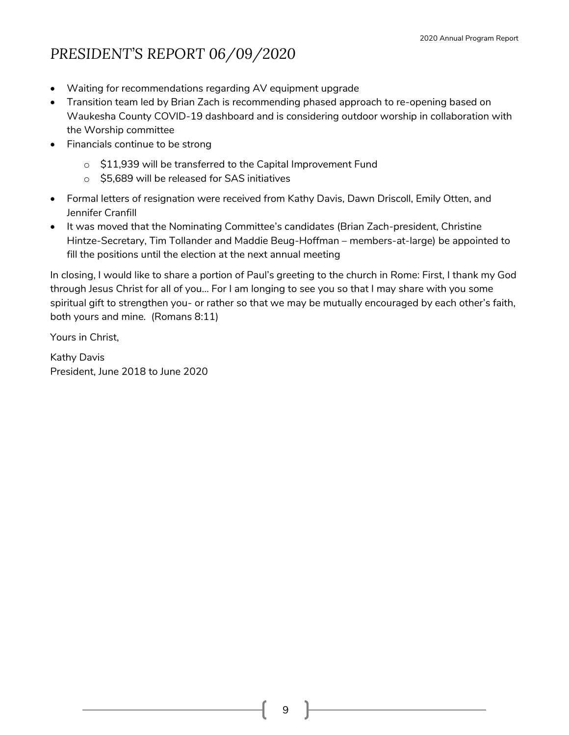- Waiting for recommendations regarding AV equipment upgrade
- Transition team led by Brian Zach is recommending phased approach to re-opening based on Waukesha County COVID-19 dashboard and is considering outdoor worship in collaboration with the Worship committee
- Financials continue to be strong
	- o \$11,939 will be transferred to the Capital Improvement Fund
	- o \$5,689 will be released for SAS initiatives
- Formal letters of resignation were received from Kathy Davis, Dawn Driscoll, Emily Otten, and Jennifer Cranfill
- It was moved that the Nominating Committee's candidates (Brian Zach-president, Christine Hintze-Secretary, Tim Tollander and Maddie Beug-Hoffman – members-at-large) be appointed to fill the positions until the election at the next annual meeting

In closing, I would like to share a portion of Paul's greeting to the church in Rome: First, I thank my God through Jesus Christ for all of you… For I am longing to see you so that I may share with you some spiritual gift to strengthen you- or rather so that we may be mutually encouraged by each other's faith, both yours and mine. (Romans 8:11)

Yours in Christ,

Kathy Davis President, June 2018 to June 2020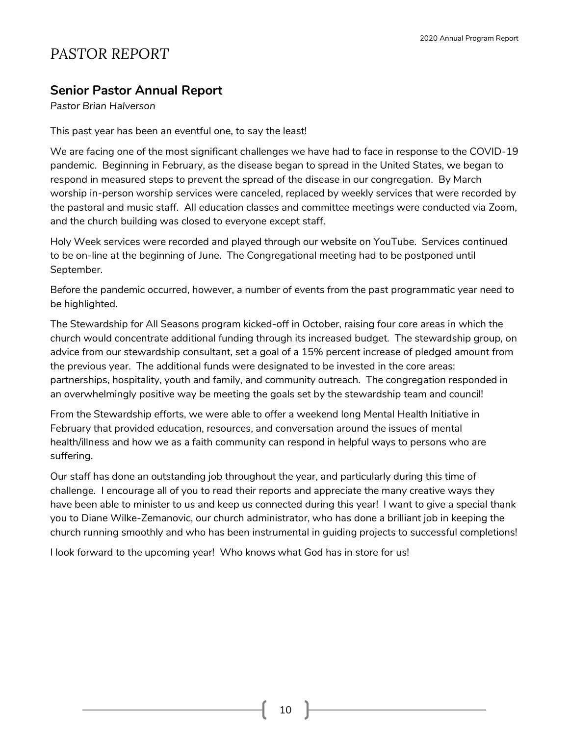### *PASTOR REPORT*

#### **Senior Pastor Annual Report**

*Pastor Brian Halverson*

This past year has been an eventful one, to say the least!

We are facing one of the most significant challenges we have had to face in response to the COVID-19 pandemic. Beginning in February, as the disease began to spread in the United States, we began to respond in measured steps to prevent the spread of the disease in our congregation. By March worship in-person worship services were canceled, replaced by weekly services that were recorded by the pastoral and music staff. All education classes and committee meetings were conducted via Zoom, and the church building was closed to everyone except staff.

Holy Week services were recorded and played through our website on YouTube. Services continued to be on-line at the beginning of June. The Congregational meeting had to be postponed until September.

Before the pandemic occurred, however, a number of events from the past programmatic year need to be highlighted.

The Stewardship for All Seasons program kicked-off in October, raising four core areas in which the church would concentrate additional funding through its increased budget. The stewardship group, on advice from our stewardship consultant, set a goal of a 15% percent increase of pledged amount from the previous year. The additional funds were designated to be invested in the core areas: partnerships, hospitality, youth and family, and community outreach. The congregation responded in an overwhelmingly positive way be meeting the goals set by the stewardship team and council!

From the Stewardship efforts, we were able to offer a weekend long Mental Health Initiative in February that provided education, resources, and conversation around the issues of mental health/illness and how we as a faith community can respond in helpful ways to persons who are suffering.

Our staff has done an outstanding job throughout the year, and particularly during this time of challenge. I encourage all of you to read their reports and appreciate the many creative ways they have been able to minister to us and keep us connected during this year! I want to give a special thank you to Diane Wilke-Zemanovic, our church administrator, who has done a brilliant job in keeping the church running smoothly and who has been instrumental in guiding projects to successful completions!

I look forward to the upcoming year! Who knows what God has in store for us!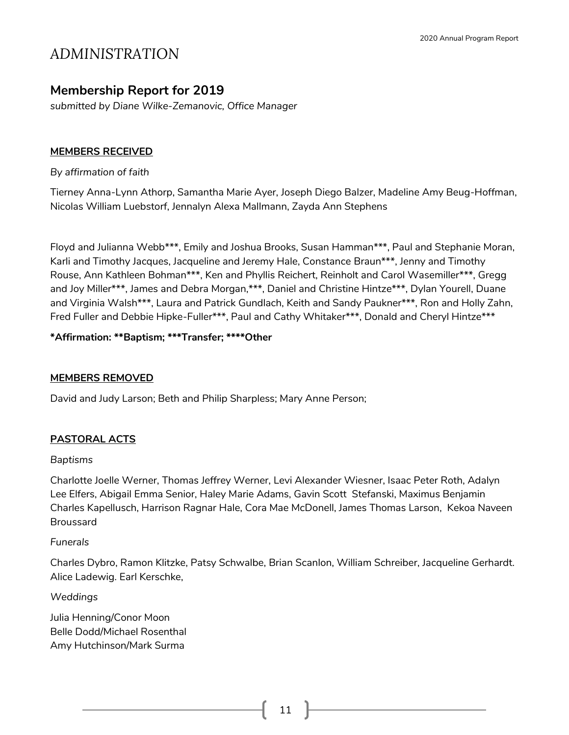#### **Membership Report for 2019**

*submitted by Diane Wilke-Zemanovic, Office Manager*

#### **MEMBERS RECEIVED**

*By affirmation of faith*

Tierney Anna-Lynn Athorp, Samantha Marie Ayer, Joseph Diego Balzer, Madeline Amy Beug-Hoffman, Nicolas William Luebstorf, Jennalyn Alexa Mallmann, Zayda Ann Stephens

Floyd and Julianna Webb\*\*\*, Emily and Joshua Brooks, Susan Hamman\*\*\*, Paul and Stephanie Moran, Karli and Timothy Jacques, Jacqueline and Jeremy Hale, Constance Braun\*\*\*, Jenny and Timothy Rouse, Ann Kathleen Bohman\*\*\*, Ken and Phyllis Reichert, Reinholt and Carol Wasemiller\*\*\*, Gregg and Joy Miller\*\*\*, James and Debra Morgan,\*\*\*, Daniel and Christine Hintze\*\*\*, Dylan Yourell, Duane and Virginia Walsh\*\*\*, Laura and Patrick Gundlach, Keith and Sandy Paukner\*\*\*, Ron and Holly Zahn, Fred Fuller and Debbie Hipke-Fuller\*\*\*, Paul and Cathy Whitaker\*\*\*, Donald and Cheryl Hintze\*\*\*

#### **\*Affirmation: \*\*Baptism; \*\*\*Transfer; \*\*\*\*Other**

#### **MEMBERS REMOVED**

David and Judy Larson; Beth and Philip Sharpless; Mary Anne Person;

#### **PASTORAL ACTS**

#### *Baptisms*

Charlotte Joelle Werner, Thomas Jeffrey Werner, Levi Alexander Wiesner, Isaac Peter Roth, Adalyn Lee Elfers, Abigail Emma Senior, Haley Marie Adams, Gavin Scott Stefanski, Maximus Benjamin Charles Kapellusch, Harrison Ragnar Hale, Cora Mae McDonell, James Thomas Larson, Kekoa Naveen Broussard

#### *Funerals*

Charles Dybro, Ramon Klitzke, Patsy Schwalbe, Brian Scanlon, William Schreiber, Jacqueline Gerhardt. Alice Ladewig. Earl Kerschke,

#### *Weddings*

Julia Henning/Conor Moon Belle Dodd/Michael Rosenthal Amy Hutchinson/Mark Surma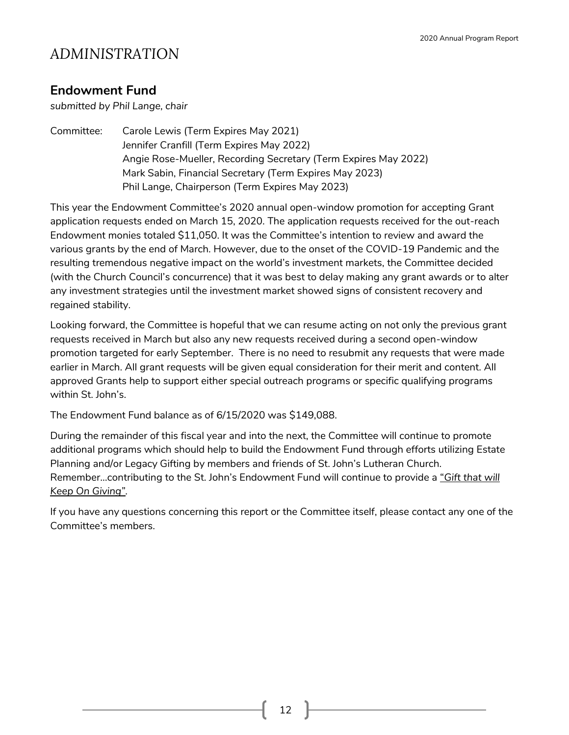#### **Endowment Fund**

*submitted by Phil Lange, chair*

Committee: Carole Lewis (Term Expires May 2021) Jennifer Cranfill (Term Expires May 2022) Angie Rose-Mueller, Recording Secretary (Term Expires May 2022) Mark Sabin, Financial Secretary (Term Expires May 2023) Phil Lange, Chairperson (Term Expires May 2023)

This year the Endowment Committee's 2020 annual open-window promotion for accepting Grant application requests ended on March 15, 2020. The application requests received for the out-reach Endowment monies totaled \$11,050. It was the Committee's intention to review and award the various grants by the end of March. However, due to the onset of the COVID-19 Pandemic and the resulting tremendous negative impact on the world's investment markets, the Committee decided (with the Church Council's concurrence) that it was best to delay making any grant awards or to alter any investment strategies until the investment market showed signs of consistent recovery and regained stability.

Looking forward, the Committee is hopeful that we can resume acting on not only the previous grant requests received in March but also any new requests received during a second open-window promotion targeted for early September. There is no need to resubmit any requests that were made earlier in March. All grant requests will be given equal consideration for their merit and content. All approved Grants help to support either special outreach programs or specific qualifying programs within St. John's.

The Endowment Fund balance as of 6/15/2020 was \$149,088.

During the remainder of this fiscal year and into the next, the Committee will continue to promote additional programs which should help to build the Endowment Fund through efforts utilizing Estate Planning and/or Legacy Gifting by members and friends of St. John's Lutheran Church. Remember…contributing to the St. John's Endowment Fund will continue to provide a "*Gift that will Keep On Giving".*

If you have any questions concerning this report or the Committee itself, please contact any one of the Committee's members.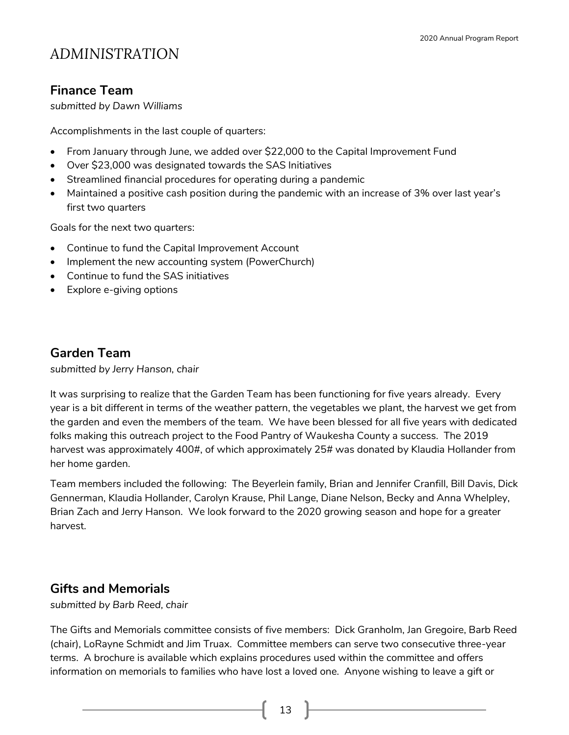#### **Finance Team**

*submitted by Dawn Williams*

Accomplishments in the last couple of quarters:

- From January through June, we added over \$22,000 to the Capital Improvement Fund
- Over \$23,000 was designated towards the SAS Initiatives
- Streamlined financial procedures for operating during a pandemic
- Maintained a positive cash position during the pandemic with an increase of 3% over last year's first two quarters

Goals for the next two quarters:

- Continue to fund the Capital Improvement Account
- Implement the new accounting system (PowerChurch)
- Continue to fund the SAS initiatives
- Explore e-giving options

#### **Garden Team**

*submitted by Jerry Hanson, chair*

It was surprising to realize that the Garden Team has been functioning for five years already. Every year is a bit different in terms of the weather pattern, the vegetables we plant, the harvest we get from the garden and even the members of the team. We have been blessed for all five years with dedicated folks making this outreach project to the Food Pantry of Waukesha County a success. The 2019 harvest was approximately 400#, of which approximately 25# was donated by Klaudia Hollander from her home garden.

Team members included the following: The Beyerlein family, Brian and Jennifer Cranfill, Bill Davis, Dick Gennerman, Klaudia Hollander, Carolyn Krause, Phil Lange, Diane Nelson, Becky and Anna Whelpley, Brian Zach and Jerry Hanson. We look forward to the 2020 growing season and hope for a greater harvest.

#### **Gifts and Memorials**

*submitted by Barb Reed, chair*

The Gifts and Memorials committee consists of five members: Dick Granholm, Jan Gregoire, Barb Reed (chair), LoRayne Schmidt and Jim Truax. Committee members can serve two consecutive three-year terms. A brochure is available which explains procedures used within the committee and offers information on memorials to families who have lost a loved one. Anyone wishing to leave a gift or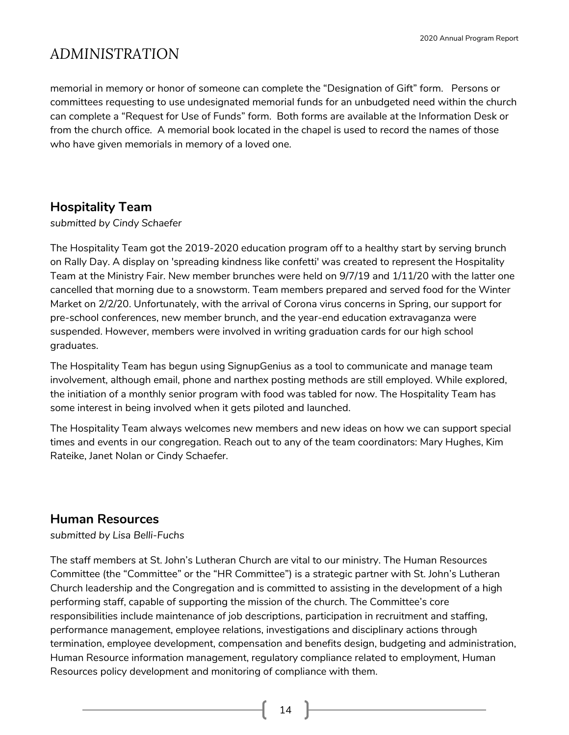memorial in memory or honor of someone can complete the "Designation of Gift" form. Persons or committees requesting to use undesignated memorial funds for an unbudgeted need within the church can complete a "Request for Use of Funds" form. Both forms are available at the Information Desk or from the church office. A memorial book located in the chapel is used to record the names of those who have given memorials in memory of a loved one.

#### **Hospitality Team**

*submitted by Cindy Schaefer*

The Hospitality Team got the 2019-2020 education program off to a healthy start by serving brunch on Rally Day. A display on 'spreading kindness like confetti' was created to represent the Hospitality Team at the Ministry Fair. New member brunches were held on 9/7/19 and 1/11/20 with the latter one cancelled that morning due to a snowstorm. Team members prepared and served food for the Winter Market on 2/2/20. Unfortunately, with the arrival of Corona virus concerns in Spring, our support for pre-school conferences, new member brunch, and the year-end education extravaganza were suspended. However, members were involved in writing graduation cards for our high school graduates.

The Hospitality Team has begun using SignupGenius as a tool to communicate and manage team involvement, although email, phone and narthex posting methods are still employed. While explored, the initiation of a monthly senior program with food was tabled for now. The Hospitality Team has some interest in being involved when it gets piloted and launched.

The Hospitality Team always welcomes new members and new ideas on how we can support special times and events in our congregation. Reach out to any of the team coordinators: Mary Hughes, Kim Rateike, Janet Nolan or Cindy Schaefer.

#### **Human Resources**

*submitted by Lisa Belli-Fuchs*

The staff members at St. John's Lutheran Church are vital to our ministry. The Human Resources Committee (the "Committee" or the "HR Committee") is a strategic partner with St. John's Lutheran Church leadership and the Congregation and is committed to assisting in the development of a high performing staff, capable of supporting the mission of the church. The Committee's core responsibilities include maintenance of job descriptions, participation in recruitment and staffing, performance management, employee relations, investigations and disciplinary actions through termination, employee development, compensation and benefits design, budgeting and administration, Human Resource information management, regulatory compliance related to employment, Human Resources policy development and monitoring of compliance with them.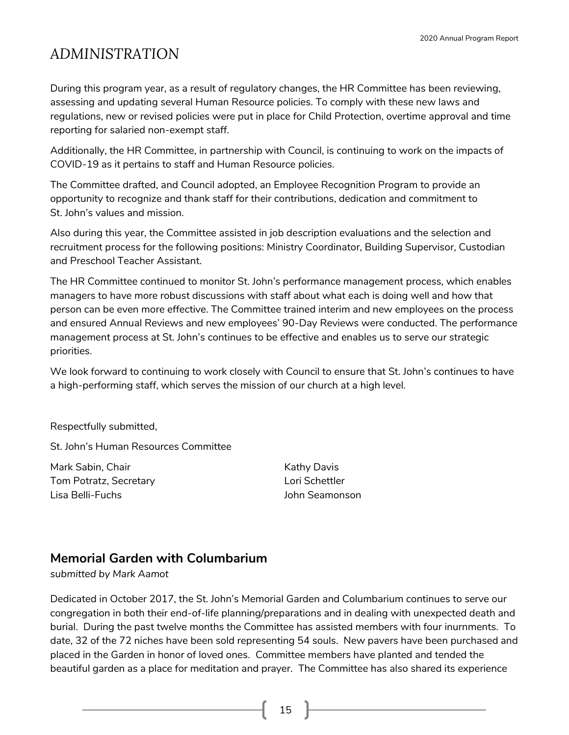During this program year, as a result of regulatory changes, the HR Committee has been reviewing, assessing and updating several Human Resource policies. To comply with these new laws and regulations, new or revised policies were put in place for Child Protection, overtime approval and time reporting for salaried non-exempt staff.

Additionally, the HR Committee, in partnership with Council, is continuing to work on the impacts of COVID-19 as it pertains to staff and Human Resource policies.

The Committee drafted, and Council adopted, an Employee Recognition Program to provide an opportunity to recognize and thank staff for their contributions, dedication and commitment to St. John's values and mission.

Also during this year, the Committee assisted in job description evaluations and the selection and recruitment process for the following positions: Ministry Coordinator, Building Supervisor, Custodian and Preschool Teacher Assistant.

The HR Committee continued to monitor St. John's performance management process, which enables managers to have more robust discussions with staff about what each is doing well and how that person can be even more effective. The Committee trained interim and new employees on the process and ensured Annual Reviews and new employees' 90-Day Reviews were conducted. The performance management process at St. John's continues to be effective and enables us to serve our strategic priorities.

We look forward to continuing to work closely with Council to ensure that St. John's continues to have a high-performing staff, which serves the mission of our church at a high level.

Respectfully submitted,

St. John's Human Resources Committee

Mark Sabin, Chair Nathy Davis Tom Potratz, Secretary **Louring Community** Lori Schettler Lisa Belli-Fuchs John Seamonson

#### **Memorial Garden with Columbarium**

*submitted by Mark Aamot*

Dedicated in October 2017, the St. John's Memorial Garden and Columbarium continues to serve our congregation in both their end-of-life planning/preparations and in dealing with unexpected death and burial. During the past twelve months the Committee has assisted members with four inurnments. To date, 32 of the 72 niches have been sold representing 54 souls. New pavers have been purchased and placed in the Garden in honor of loved ones. Committee members have planted and tended the beautiful garden as a place for meditation and prayer. The Committee has also shared its experience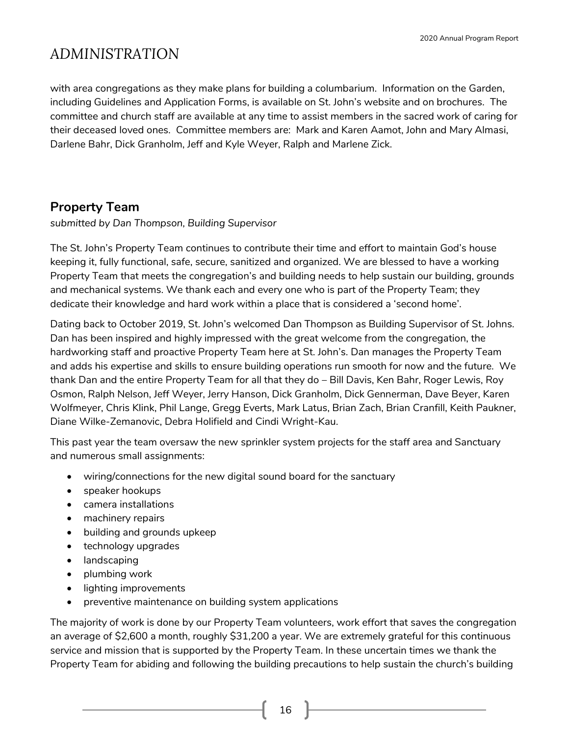with area congregations as they make plans for building a columbarium. Information on the Garden, including Guidelines and Application Forms, is available on St. John's website and on brochures. The committee and church staff are available at any time to assist members in the sacred work of caring for their deceased loved ones. Committee members are: Mark and Karen Aamot, John and Mary Almasi, Darlene Bahr, Dick Granholm, Jeff and Kyle Weyer, Ralph and Marlene Zick.

#### **Property Team**

*submitted by Dan Thompson, Building Supervisor*

The St. John's Property Team continues to contribute their time and effort to maintain God's house keeping it, fully functional, safe, secure, sanitized and organized. We are blessed to have a working Property Team that meets the congregation's and building needs to help sustain our building, grounds and mechanical systems. We thank each and every one who is part of the Property Team; they dedicate their knowledge and hard work within a place that is considered a 'second home'.

Dating back to October 2019, St. John's welcomed Dan Thompson as Building Supervisor of St. Johns. Dan has been inspired and highly impressed with the great welcome from the congregation, the hardworking staff and proactive Property Team here at St. John's. Dan manages the Property Team and adds his expertise and skills to ensure building operations run smooth for now and the future. We thank Dan and the entire Property Team for all that they do – Bill Davis, Ken Bahr, Roger Lewis, Roy Osmon, Ralph Nelson, Jeff Weyer, Jerry Hanson, Dick Granholm, Dick Gennerman, Dave Beyer, Karen Wolfmeyer, Chris Klink, Phil Lange, Gregg Everts, Mark Latus, Brian Zach, Brian Cranfill, Keith Paukner, Diane Wilke-Zemanovic, Debra Holifield and Cindi Wright-Kau.

This past year the team oversaw the new sprinkler system projects for the staff area and Sanctuary and numerous small assignments:

- wiring/connections for the new digital sound board for the sanctuary
- speaker hookups
- camera installations
- machinery repairs
- building and grounds upkeep
- technology upgrades
- **•** landscaping
- plumbing work
- lighting improvements
- preventive maintenance on building system applications

The majority of work is done by our Property Team volunteers, work effort that saves the congregation an average of \$2,600 a month, roughly \$31,200 a year. We are extremely grateful for this continuous service and mission that is supported by the Property Team. In these uncertain times we thank the Property Team for abiding and following the building precautions to help sustain the church's building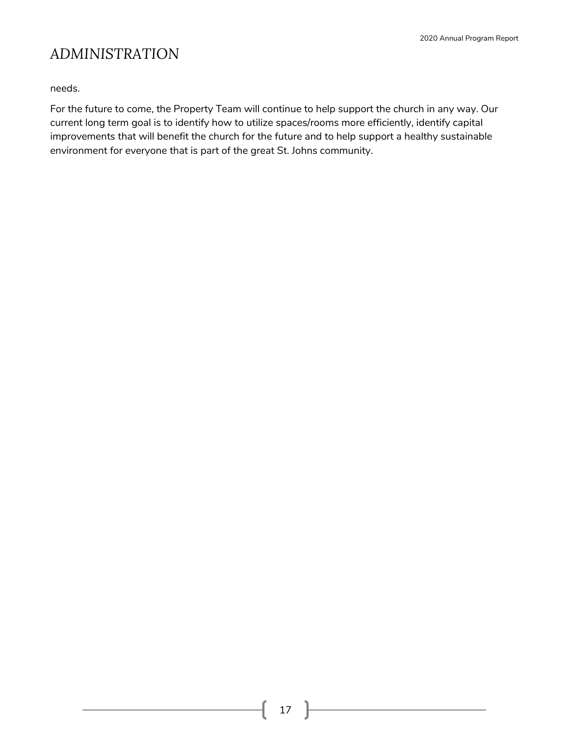needs.

For the future to come, the Property Team will continue to help support the church in any way. Our current long term goal is to identify how to utilize spaces/rooms more efficiently, identify capital improvements that will benefit the church for the future and to help support a healthy sustainable environment for everyone that is part of the great St. Johns community.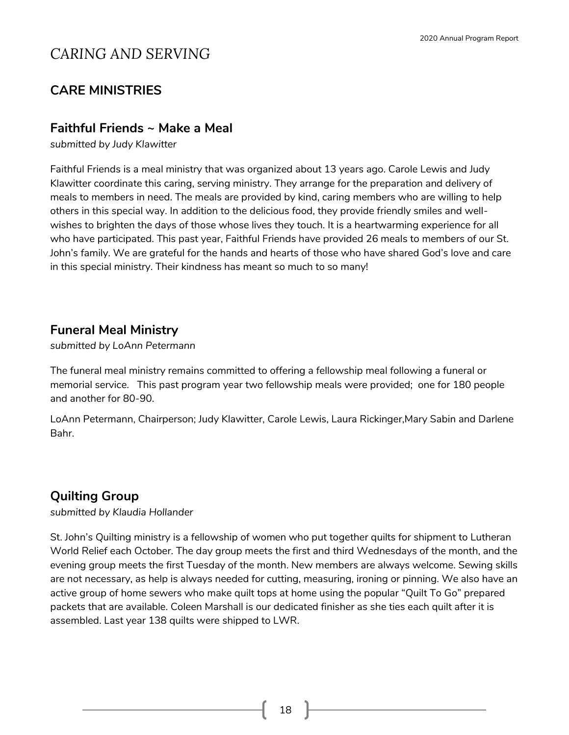#### **CARE MINISTRIES**

#### **Faithful Friends ~ Make a Meal**

*submitted by Judy Klawitter* 

Faithful Friends is a meal ministry that was organized about 13 years ago. Carole Lewis and Judy Klawitter coordinate this caring, serving ministry. They arrange for the preparation and delivery of meals to members in need. The meals are provided by kind, caring members who are willing to help others in this special way. In addition to the delicious food, they provide friendly smiles and wellwishes to brighten the days of those whose lives they touch. It is a heartwarming experience for all who have participated. This past year, Faithful Friends have provided 26 meals to members of our St. John's family. We are grateful for the hands and hearts of those who have shared God's love and care in this special ministry. Their kindness has meant so much to so many!

#### **Funeral Meal Ministry**

*submitted by LoAnn Petermann*

The funeral meal ministry remains committed to offering a fellowship meal following a funeral or memorial service. This past program year two fellowship meals were provided; one for 180 people and another for 80-90.

LoAnn Petermann, Chairperson; Judy Klawitter, Carole Lewis, Laura Rickinger,Mary Sabin and Darlene Bahr.

#### **Quilting Group**

*submitted by Klaudia Hollander*

St. John's Quilting ministry is a fellowship of women who put together quilts for shipment to Lutheran World Relief each October. The day group meets the first and third Wednesdays of the month, and the evening group meets the first Tuesday of the month. New members are always welcome. Sewing skills are not necessary, as help is always needed for cutting, measuring, ironing or pinning. We also have an active group of home sewers who make quilt tops at home using the popular "Quilt To Go" prepared packets that are available. Coleen Marshall is our dedicated finisher as she ties each quilt after it is assembled. Last year 138 quilts were shipped to LWR.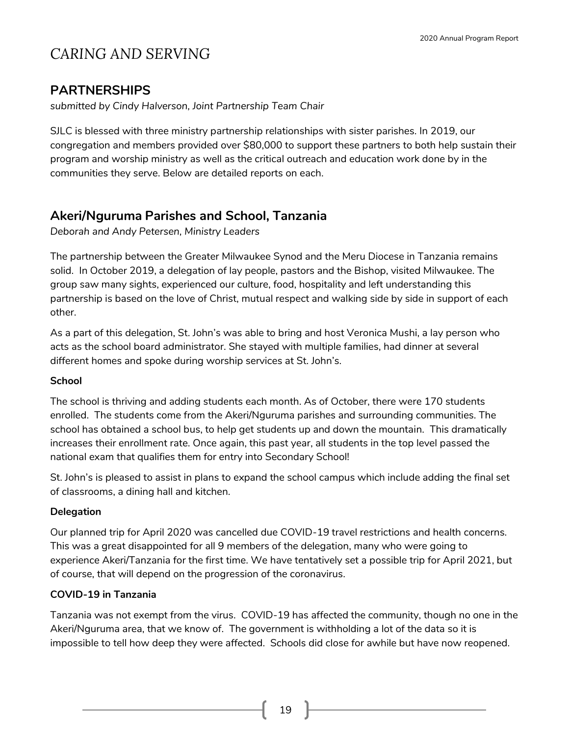### **PARTNERSHIPS**

*submitted by Cindy Halverson, Joint Partnership Team Chair*

SJLC is blessed with three ministry partnership relationships with sister parishes. In 2019, our congregation and members provided over \$80,000 to support these partners to both help sustain their program and worship ministry as well as the critical outreach and education work done by in the communities they serve. Below are detailed reports on each.

#### **Akeri/Nguruma Parishes and School, Tanzania**

*Deborah and Andy Petersen, Ministry Leaders*

The partnership between the Greater Milwaukee Synod and the Meru Diocese in Tanzania remains solid. In October 2019, a delegation of lay people, pastors and the Bishop, visited Milwaukee. The group saw many sights, experienced our culture, food, hospitality and left understanding this partnership is based on the love of Christ, mutual respect and walking side by side in support of each other.

As a part of this delegation, St. John's was able to bring and host Veronica Mushi, a lay person who acts as the school board administrator. She stayed with multiple families, had dinner at several different homes and spoke during worship services at St. John's.

#### **School**

The school is thriving and adding students each month. As of October, there were 170 students enrolled. The students come from the Akeri/Nguruma parishes and surrounding communities. The school has obtained a school bus, to help get students up and down the mountain. This dramatically increases their enrollment rate. Once again, this past year, all students in the top level passed the national exam that qualifies them for entry into Secondary School!

St. John's is pleased to assist in plans to expand the school campus which include adding the final set of classrooms, a dining hall and kitchen.

#### **Delegation**

Our planned trip for April 2020 was cancelled due COVID-19 travel restrictions and health concerns. This was a great disappointed for all 9 members of the delegation, many who were going to experience Akeri/Tanzania for the first time. We have tentatively set a possible trip for April 2021, but of course, that will depend on the progression of the coronavirus.

#### **COVID-19 in Tanzania**

Tanzania was not exempt from the virus. COVID-19 has affected the community, though no one in the Akeri/Nguruma area, that we know of. The government is withholding a lot of the data so it is impossible to tell how deep they were affected. Schools did close for awhile but have now reopened.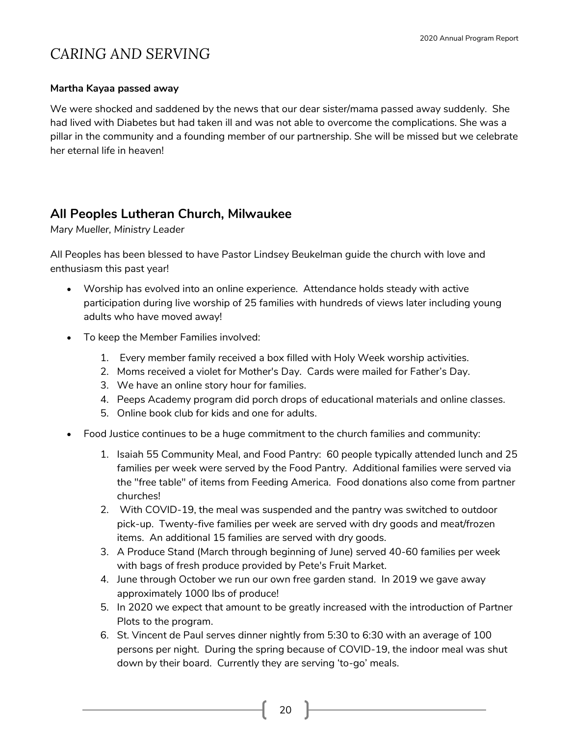#### **Martha Kayaa passed away**

We were shocked and saddened by the news that our dear sister/mama passed away suddenly. She had lived with Diabetes but had taken ill and was not able to overcome the complications. She was a pillar in the community and a founding member of our partnership. She will be missed but we celebrate her eternal life in heaven!

#### **All Peoples Lutheran Church, Milwaukee**

#### *Mary Mueller, Ministry Leader*

All Peoples has been blessed to have Pastor Lindsey Beukelman guide the church with love and enthusiasm this past year!

- Worship has evolved into an online experience. Attendance holds steady with active participation during live worship of 25 families with hundreds of views later including young adults who have moved away!
- To keep the Member Families involved:
	- 1. Every member family received a box filled with Holy Week worship activities.
	- 2. Moms received a violet for Mother's Day. Cards were mailed for Father's Day.
	- 3. We have an online story hour for families.
	- 4. Peeps Academy program did porch drops of educational materials and online classes.
	- 5. Online book club for kids and one for adults.
- Food Justice continues to be a huge commitment to the church families and community:
	- 1. Isaiah 55 Community Meal, and Food Pantry: 60 people typically attended lunch and 25 families per week were served by the Food Pantry. Additional families were served via the "free table" of items from Feeding America. Food donations also come from partner churches!
	- 2. With COVID-19, the meal was suspended and the pantry was switched to outdoor pick-up. Twenty-five families per week are served with dry goods and meat/frozen items. An additional 15 families are served with dry goods.
	- 3. A Produce Stand (March through beginning of June) served 40-60 families per week with bags of fresh produce provided by Pete's Fruit Market.
	- 4. June through October we run our own free garden stand. In 2019 we gave away approximately 1000 lbs of produce!
	- 5. In 2020 we expect that amount to be greatly increased with the introduction of Partner Plots to the program.
	- 6. St. Vincent de Paul serves dinner nightly from 5:30 to 6:30 with an average of 100 persons per night. During the spring because of COVID-19, the indoor meal was shut down by their board. Currently they are serving 'to-go' meals.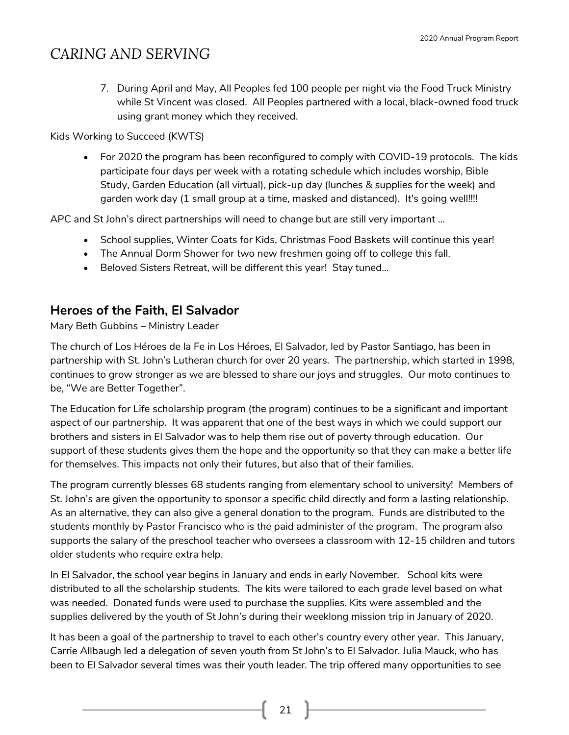7. During April and May, All Peoples fed 100 people per night via the Food Truck Ministry while St Vincent was closed. All Peoples partnered with a local, black-owned food truck using grant money which they received.

Kids Working to Succeed (KWTS)

 For 2020 the program has been reconfigured to comply with COVID-19 protocols. The kids participate four days per week with a rotating schedule which includes worship, Bible Study, Garden Education (all virtual), pick-up day (lunches & supplies for the week) and garden work day (1 small group at a time, masked and distanced). It's going well!!!!

APC and St John's direct partnerships will need to change but are still very important …

- School supplies, Winter Coats for Kids, Christmas Food Baskets will continue this year!
- The Annual Dorm Shower for two new freshmen going off to college this fall.
- Beloved Sisters Retreat, will be different this year! Stay tuned...

#### **Heroes of the Faith, El Salvador**

Mary Beth Gubbins – Ministry Leader

The church of Los Héroes de la Fe in Los Héroes, El Salvador, led by Pastor Santiago, has been in partnership with St. John's Lutheran church for over 20 years. The partnership, which started in 1998, continues to grow stronger as we are blessed to share our joys and struggles. Our moto continues to be, "We are Better Together".

The Education for Life scholarship program (the program) continues to be a significant and important aspect of our partnership. It was apparent that one of the best ways in which we could support our brothers and sisters in El Salvador was to help them rise out of poverty through education. Our support of these students gives them the hope and the opportunity so that they can make a better life for themselves. This impacts not only their futures, but also that of their families.

The program currently blesses 68 students ranging from elementary school to university! Members of St. John's are given the opportunity to sponsor a specific child directly and form a lasting relationship. As an alternative, they can also give a general donation to the program. Funds are distributed to the students monthly by Pastor Francisco who is the paid administer of the program. The program also supports the salary of the preschool teacher who oversees a classroom with 12-15 children and tutors older students who require extra help.

In El Salvador, the school year begins in January and ends in early November. School kits were distributed to all the scholarship students. The kits were tailored to each grade level based on what was needed. Donated funds were used to purchase the supplies. Kits were assembled and the supplies delivered by the youth of St John's during their weeklong mission trip in January of 2020.

It has been a goal of the partnership to travel to each other's country every other year. This January, Carrie Allbaugh led a delegation of seven youth from St John's to El Salvador. Julia Mauck, who has been to El Salvador several times was their youth leader. The trip offered many opportunities to see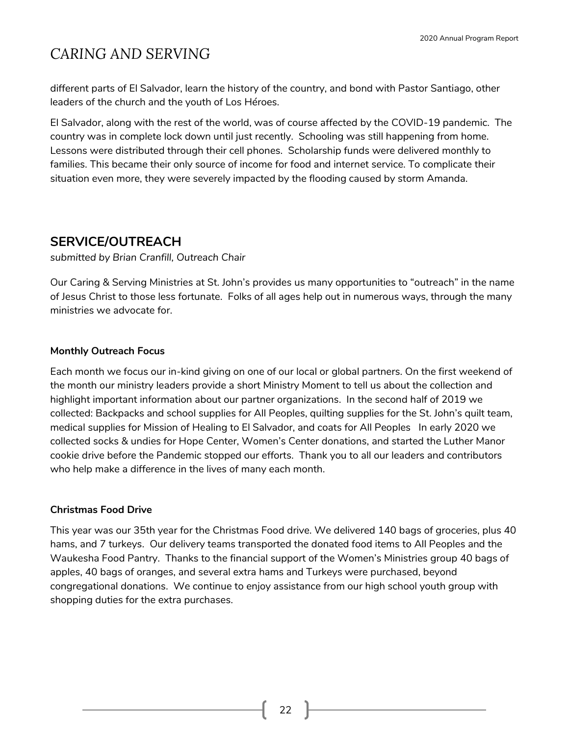different parts of El Salvador, learn the history of the country, and bond with Pastor Santiago, other leaders of the church and the youth of Los Héroes.

El Salvador, along with the rest of the world, was of course affected by the COVID-19 pandemic. The country was in complete lock down until just recently. Schooling was still happening from home. Lessons were distributed through their cell phones. Scholarship funds were delivered monthly to families. This became their only source of income for food and internet service. To complicate their situation even more, they were severely impacted by the flooding caused by storm Amanda.

#### **SERVICE/OUTREACH**

*submitted by Brian Cranfill, Outreach Chair*

Our Caring & Serving Ministries at St. John's provides us many opportunities to "outreach" in the name of Jesus Christ to those less fortunate. Folks of all ages help out in numerous ways, through the many ministries we advocate for.

#### **Monthly Outreach Focus**

Each month we focus our in-kind giving on one of our local or global partners. On the first weekend of the month our ministry leaders provide a short Ministry Moment to tell us about the collection and highlight important information about our partner organizations. In the second half of 2019 we collected: Backpacks and school supplies for All Peoples, quilting supplies for the St. John's quilt team, medical supplies for Mission of Healing to El Salvador, and coats for All Peoples In early 2020 we collected socks & undies for Hope Center, Women's Center donations, and started the Luther Manor cookie drive before the Pandemic stopped our efforts. Thank you to all our leaders and contributors who help make a difference in the lives of many each month.

#### **Christmas Food Drive**

This year was our 35th year for the Christmas Food drive. We delivered 140 bags of groceries, plus 40 hams, and 7 turkeys. Our delivery teams transported the donated food items to All Peoples and the Waukesha Food Pantry. Thanks to the financial support of the Women's Ministries group 40 bags of apples, 40 bags of oranges, and several extra hams and Turkeys were purchased, beyond congregational donations. We continue to enjoy assistance from our high school youth group with shopping duties for the extra purchases.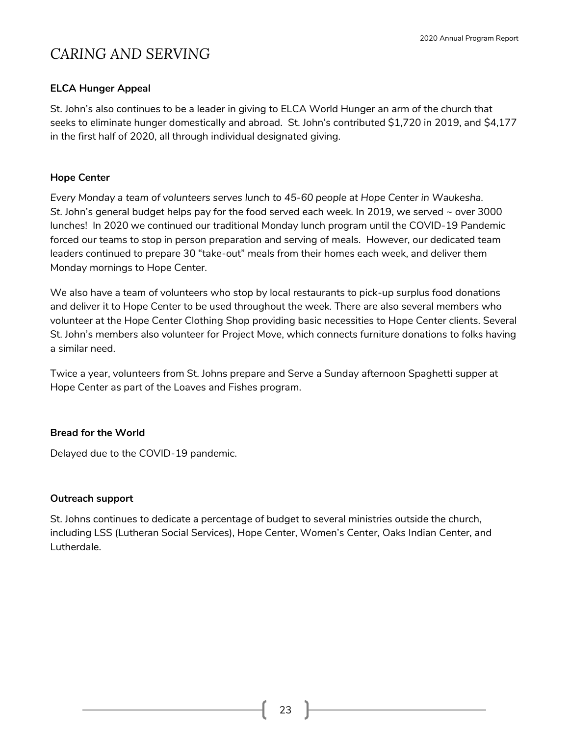#### **ELCA Hunger Appeal**

St. John's also continues to be a leader in giving to ELCA World Hunger an arm of the church that seeks to eliminate hunger domestically and abroad. St. John's contributed \$1,720 in 2019, and \$4,177 in the first half of 2020, all through individual designated giving.

#### **Hope Center**

*Every Monday a team of volunteers serves lunch to 45-60 people at Hope Center in Waukesha. St*. John's general budget helps pay for the food served each week. In 2019, we served ~ over 3000 lunches! In 2020 we continued our traditional Monday lunch program until the COVID-19 Pandemic forced our teams to stop in person preparation and serving of meals. However, our dedicated team leaders continued to prepare 30 "take-out" meals from their homes each week, and deliver them Monday mornings to Hope Center.

We also have a team of volunteers who stop by local restaurants to pick-up surplus food donations and deliver it to Hope Center to be used throughout the week. There are also several members who volunteer at the Hope Center Clothing Shop providing basic necessities to Hope Center clients. Several St. John's members also volunteer for Project Move, which connects furniture donations to folks having a similar need.

Twice a year, volunteers from St. Johns prepare and Serve a Sunday afternoon Spaghetti supper at Hope Center as part of the Loaves and Fishes program.

#### **Bread for the World**

Delayed due to the COVID-19 pandemic.

#### **Outreach support**

St. Johns continues to dedicate a percentage of budget to several ministries outside the church, including LSS (Lutheran Social Services), Hope Center, Women's Center, Oaks Indian Center, and Lutherdale.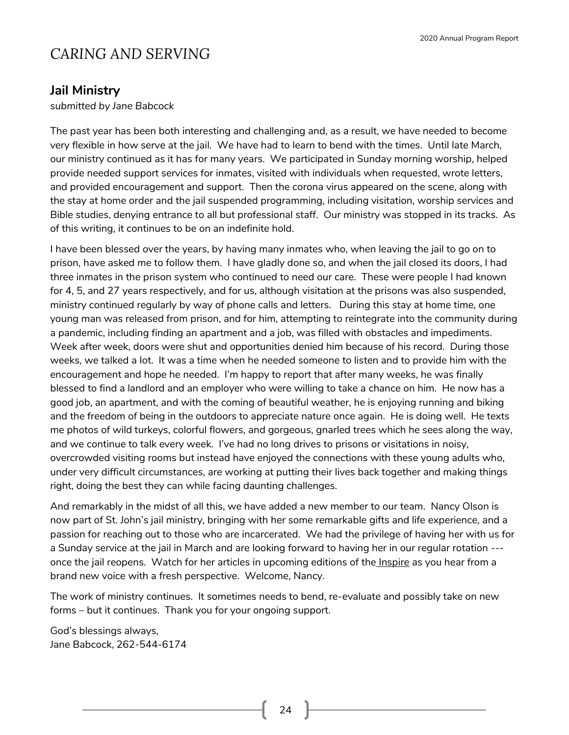#### **Jail Ministry**

*submitted by Jane Babcock*

The past year has been both interesting and challenging and, as a result, we have needed to become very flexible in how serve at the jail. We have had to learn to bend with the times. Until late March, our ministry continued as it has for many years. We participated in Sunday morning worship, helped provide needed support services for inmates, visited with individuals when requested, wrote letters, and provided encouragement and support. Then the corona virus appeared on the scene, along with the stay at home order and the jail suspended programming, including visitation, worship services and Bible studies, denying entrance to all but professional staff. Our ministry was stopped in its tracks. As of this writing, it continues to be on an indefinite hold.

I have been blessed over the years, by having many inmates who, when leaving the jail to go on to prison, have asked me to follow them. I have gladly done so, and when the jail closed its doors, I had three inmates in the prison system who continued to need our care. These were people I had known for 4, 5, and 27 years respectively, and for us, although visitation at the prisons was also suspended, ministry continued regularly by way of phone calls and letters. During this stay at home time, one young man was released from prison, and for him, attempting to reintegrate into the community during a pandemic, including finding an apartment and a job, was filled with obstacles and impediments. Week after week, doors were shut and opportunities denied him because of his record. During those weeks, we talked a lot. It was a time when he needed someone to listen and to provide him with the encouragement and hope he needed. I'm happy to report that after many weeks, he was finally blessed to find a landlord and an employer who were willing to take a chance on him. He now has a good job, an apartment, and with the coming of beautiful weather, he is enjoying running and biking and the freedom of being in the outdoors to appreciate nature once again. He is doing well. He texts me photos of wild turkeys, colorful flowers, and gorgeous, gnarled trees which he sees along the way, and we continue to talk every week. I've had no long drives to prisons or visitations in noisy, overcrowded visiting rooms but instead have enjoyed the connections with these young adults who, under very difficult circumstances, are working at putting their lives back together and making things right, doing the best they can while facing daunting challenges.

And remarkably in the midst of all this, we have added a new member to our team. Nancy Olson is now part of St. John's jail ministry, bringing with her some remarkable gifts and life experience, and a passion for reaching out to those who are incarcerated. We had the privilege of having her with us for a Sunday service at the jail in March and are looking forward to having her in our regular rotation -- once the jail reopens. Watch for her articles in upcoming editions of the *Inspire* as you hear from a brand new voice with a fresh perspective. Welcome, Nancy.

The work of ministry continues. It sometimes needs to bend, re-evaluate and possibly take on new forms – but it continues. Thank you for your ongoing support.

God's blessings always, Jane Babcock, 262-544-6174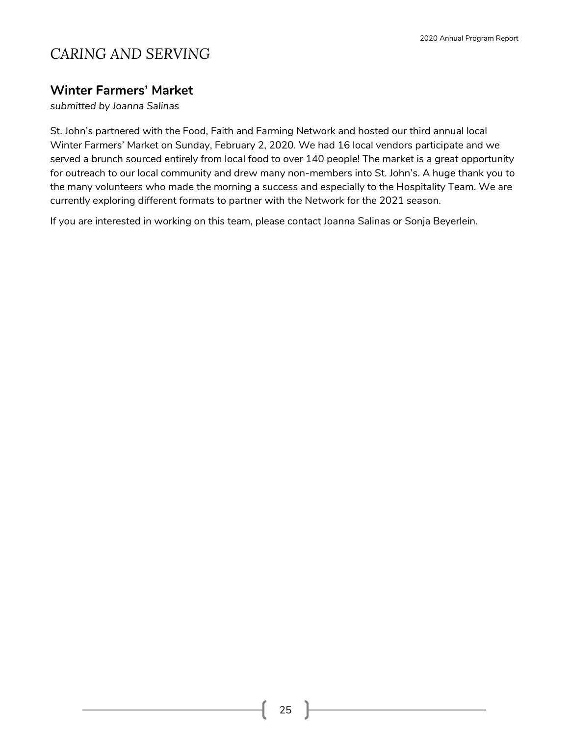#### **Winter Farmers' Market**

*submitted by Joanna Salinas*

St. John's partnered with the Food, Faith and Farming Network and hosted our third annual local Winter Farmers' Market on Sunday, February 2, 2020. We had 16 local vendors participate and we served a brunch sourced entirely from local food to over 140 people! The market is a great opportunity for outreach to our local community and drew many non-members into St. John's. A huge thank you to the many volunteers who made the morning a success and especially to the Hospitality Team. We are currently exploring different formats to partner with the Network for the 2021 season.

If you are interested in working on this team, please contact Joanna Salinas or Sonja Beyerlein.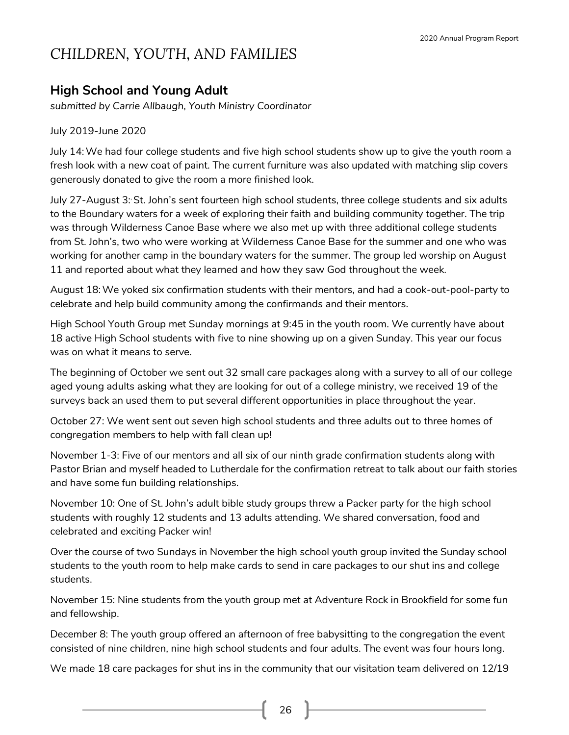### **High School and Young Adult**

*submitted by Carrie Allbaugh, Youth Ministry Coordinator*

#### July 2019-June 2020

July 14:We had four college students and five high school students show up to give the youth room a fresh look with a new coat of paint. The current furniture was also updated with matching slip covers generously donated to give the room a more finished look.

July 27-August 3: St. John's sent fourteen high school students, three college students and six adults to the Boundary waters for a week of exploring their faith and building community together. The trip was through Wilderness Canoe Base where we also met up with three additional college students from St. John's, two who were working at Wilderness Canoe Base for the summer and one who was working for another camp in the boundary waters for the summer. The group led worship on August 11 and reported about what they learned and how they saw God throughout the week.

August 18:We yoked six confirmation students with their mentors, and had a cook-out-pool-party to celebrate and help build community among the confirmands and their mentors.

High School Youth Group met Sunday mornings at 9:45 in the youth room. We currently have about 18 active High School students with five to nine showing up on a given Sunday. This year our focus was on what it means to serve.

The beginning of October we sent out 32 small care packages along with a survey to all of our college aged young adults asking what they are looking for out of a college ministry, we received 19 of the surveys back an used them to put several different opportunities in place throughout the year.

October 27: We went sent out seven high school students and three adults out to three homes of congregation members to help with fall clean up!

November 1-3: Five of our mentors and all six of our ninth grade confirmation students along with Pastor Brian and myself headed to Lutherdale for the confirmation retreat to talk about our faith stories and have some fun building relationships.

November 10: One of St. John's adult bible study groups threw a Packer party for the high school students with roughly 12 students and 13 adults attending. We shared conversation, food and celebrated and exciting Packer win!

Over the course of two Sundays in November the high school youth group invited the Sunday school students to the youth room to help make cards to send in care packages to our shut ins and college students.

November 15: Nine students from the youth group met at Adventure Rock in Brookfield for some fun and fellowship.

December 8: The youth group offered an afternoon of free babysitting to the congregation the event consisted of nine children, nine high school students and four adults. The event was four hours long.

We made 18 care packages for shut ins in the community that our visitation team delivered on 12/19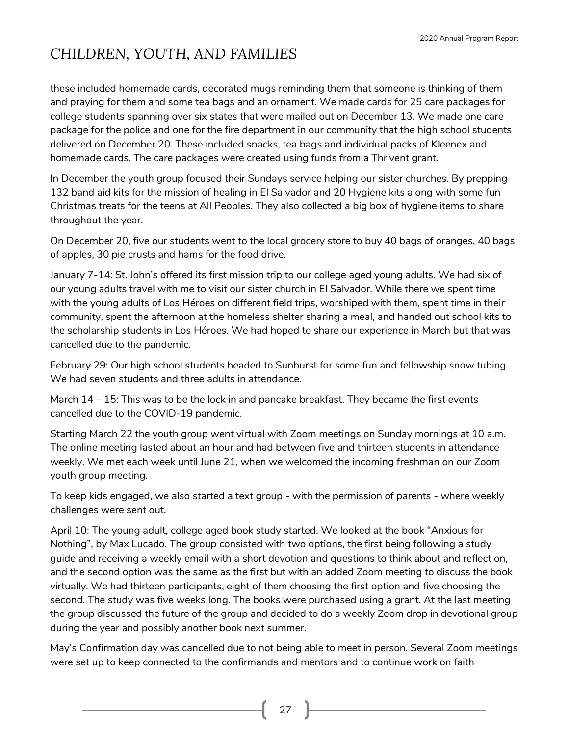these included homemade cards, decorated mugs reminding them that someone is thinking of them and praying for them and some tea bags and an ornament. We made cards for 25 care packages for college students spanning over six states that were mailed out on December 13. We made one care package for the police and one for the fire department in our community that the high school students delivered on December 20. These included snacks, tea bags and individual packs of Kleenex and homemade cards. The care packages were created using funds from a Thrivent grant.

In December the youth group focused their Sundays service helping our sister churches. By prepping 132 band aid kits for the mission of healing in El Salvador and 20 Hygiene kits along with some fun Christmas treats for the teens at All Peoples. They also collected a big box of hygiene items to share throughout the year.

On December 20, five our students went to the local grocery store to buy 40 bags of oranges, 40 bags of apples, 30 pie crusts and hams for the food drive.

January 7-14: St. John's offered its first mission trip to our college aged young adults. We had six of our young adults travel with me to visit our sister church in El Salvador. While there we spent time with the young adults of Los Héroes on different field trips, worshiped with them, spent time in their community, spent the afternoon at the homeless shelter sharing a meal, and handed out school kits to the scholarship students in Los Héroes. We had hoped to share our experience in March but that was cancelled due to the pandemic.

February 29: Our high school students headed to Sunburst for some fun and fellowship snow tubing. We had seven students and three adults in attendance.

March 14 – 15: This was to be the lock in and pancake breakfast. They became the first events cancelled due to the COVID-19 pandemic.

Starting March 22 the youth group went virtual with Zoom meetings on Sunday mornings at 10 a.m. The online meeting lasted about an hour and had between five and thirteen students in attendance weekly. We met each week until June 21, when we welcomed the incoming freshman on our Zoom youth group meeting.

To keep kids engaged, we also started a text group - with the permission of parents - where weekly challenges were sent out.

April 10: The young adult, college aged book study started. We looked at the book "Anxious for Nothing", by Max Lucado. The group consisted with two options, the first being following a study guide and receiving a weekly email with a short devotion and questions to think about and reflect on, and the second option was the same as the first but with an added Zoom meeting to discuss the book virtually. We had thirteen participants, eight of them choosing the first option and five choosing the second. The study was five weeks long. The books were purchased using a grant. At the last meeting the group discussed the future of the group and decided to do a weekly Zoom drop in devotional group during the year and possibly another book next summer.

May's Confirmation day was cancelled due to not being able to meet in person. Several Zoom meetings were set up to keep connected to the confirmands and mentors and to continue work on faith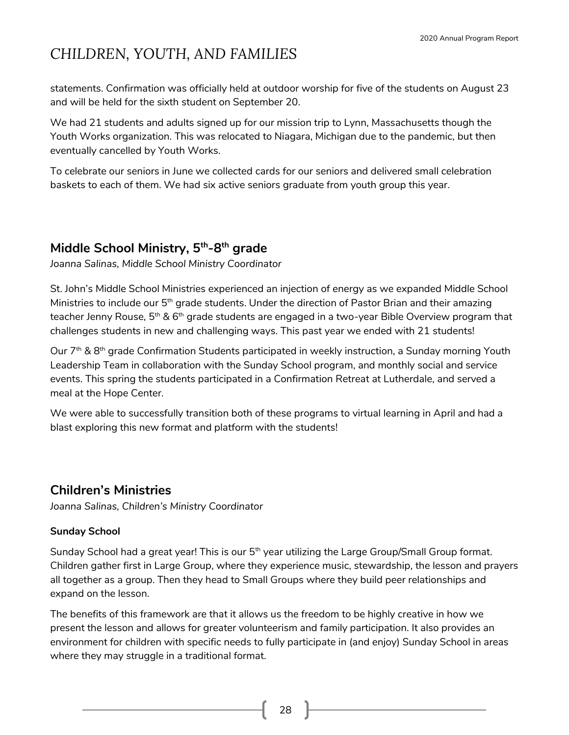statements. Confirmation was officially held at outdoor worship for five of the students on August 23 and will be held for the sixth student on September 20.

We had 21 students and adults signed up for our mission trip to Lynn, Massachusetts though the Youth Works organization. This was relocated to Niagara, Michigan due to the pandemic, but then eventually cancelled by Youth Works.

To celebrate our seniors in June we collected cards for our seniors and delivered small celebration baskets to each of them. We had six active seniors graduate from youth group this year.

### **Middle School Ministry, 5th -8 th grade**

*Joanna Salinas, Middle School Ministry Coordinator*

St. John's Middle School Ministries experienced an injection of energy as we expanded Middle School Ministries to include our 5th grade students. Under the direction of Pastor Brian and their amazing teacher Jenny Rouse, 5<sup>th</sup> & 6<sup>th</sup> grade students are engaged in a two-year Bible Overview program that challenges students in new and challenging ways. This past year we ended with 21 students!

Our 7<sup>th</sup> & 8<sup>th</sup> grade Confirmation Students participated in weekly instruction, a Sunday morning Youth Leadership Team in collaboration with the Sunday School program, and monthly social and service events. This spring the students participated in a Confirmation Retreat at Lutherdale, and served a meal at the Hope Center.

We were able to successfully transition both of these programs to virtual learning in April and had a blast exploring this new format and platform with the students!

#### **Children's Ministries**

*Joanna Salinas, Children's Ministry Coordinator*

#### **Sunday School**

Sunday School had a great year! This is our  $5<sup>th</sup>$  year utilizing the Large Group/Small Group format. Children gather first in Large Group, where they experience music, stewardship, the lesson and prayers all together as a group. Then they head to Small Groups where they build peer relationships and expand on the lesson.

The benefits of this framework are that it allows us the freedom to be highly creative in how we present the lesson and allows for greater volunteerism and family participation. It also provides an environment for children with specific needs to fully participate in (and enjoy) Sunday School in areas where they may struggle in a traditional format.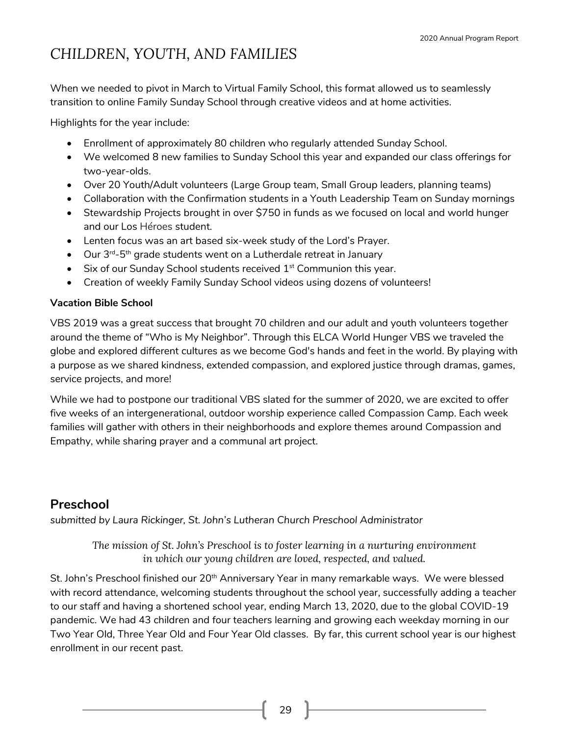When we needed to pivot in March to Virtual Family School, this format allowed us to seamlessly transition to online Family Sunday School through creative videos and at home activities.

Highlights for the year include:

- Enrollment of approximately 80 children who regularly attended Sunday School.
- We welcomed 8 new families to Sunday School this year and expanded our class offerings for two-year-olds.
- Over 20 Youth/Adult volunteers (Large Group team, Small Group leaders, planning teams)
- Collaboration with the Confirmation students in a Youth Leadership Team on Sunday mornings
- Stewardship Projects brought in over \$750 in funds as we focused on local and world hunger and our Los Héroes student.
- Lenten focus was an art based six-week study of the Lord's Prayer.
- $\bullet$   $\,$  Our 3<sup>rd</sup>-5<sup>th</sup> grade students went on a Lutherdale retreat in January
- $\bullet$  Six of our Sunday School students received  $1<sup>st</sup>$  Communion this year.
- Creation of weekly Family Sunday School videos using dozens of volunteers!

#### **Vacation Bible School**

VBS 2019 was a great success that brought 70 children and our adult and youth volunteers together around the theme of "Who is My Neighbor". Through this ELCA World Hunger VBS we traveled the globe and explored different cultures as we become God's hands and feet in the world. By playing with a purpose as we shared kindness, extended compassion, and explored justice through dramas, games, service projects, and more!

While we had to postpone our traditional VBS slated for the summer of 2020, we are excited to offer five weeks of an intergenerational, outdoor worship experience called Compassion Camp. Each week families will gather with others in their neighborhoods and explore themes around Compassion and Empathy, while sharing prayer and a communal art project.

### **Preschool**

*submitted by Laura Rickinger, St. John's Lutheran Church Preschool Administrator*

*The mission of St. John's Preschool is to foster learning in a nurturing environment in which our young children are loved, respected, and valued.*

St. John's Preschool finished our 20<sup>th</sup> Anniversary Year in many remarkable ways. We were blessed with record attendance, welcoming students throughout the school year, successfully adding a teacher to our staff and having a shortened school year, ending March 13, 2020, due to the global COVID-19 pandemic. We had 43 children and four teachers learning and growing each weekday morning in our Two Year Old, Three Year Old and Four Year Old classes. By far, this current school year is our highest enrollment in our recent past.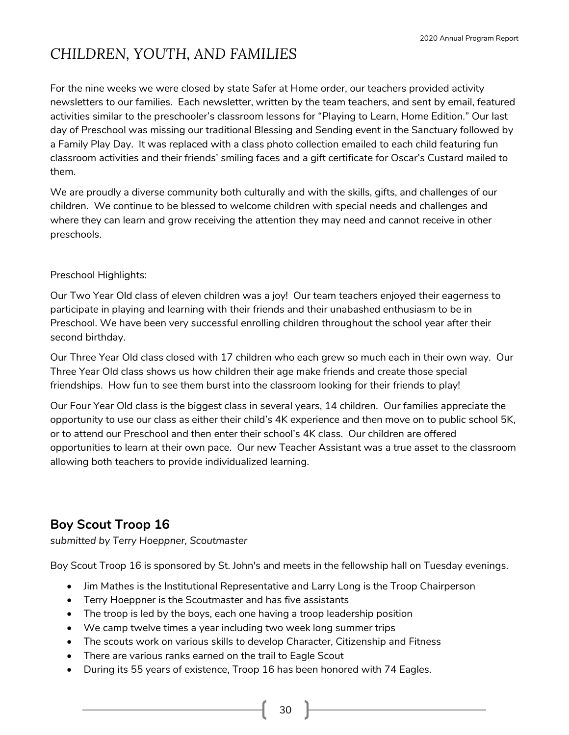For the nine weeks we were closed by state Safer at Home order, our teachers provided activity newsletters to our families. Each newsletter, written by the team teachers, and sent by email, featured activities similar to the preschooler's classroom lessons for "Playing to Learn, Home Edition." Our last day of Preschool was missing our traditional Blessing and Sending event in the Sanctuary followed by a Family Play Day. It was replaced with a class photo collection emailed to each child featuring fun classroom activities and their friends' smiling faces and a gift certificate for Oscar's Custard mailed to them.

We are proudly a diverse community both culturally and with the skills, gifts, and challenges of our children. We continue to be blessed to welcome children with special needs and challenges and where they can learn and grow receiving the attention they may need and cannot receive in other preschools.

#### Preschool Highlights:

Our Two Year Old class of eleven children was a joy! Our team teachers enjoyed their eagerness to participate in playing and learning with their friends and their unabashed enthusiasm to be in Preschool. We have been very successful enrolling children throughout the school year after their second birthday.

Our Three Year Old class closed with 17 children who each grew so much each in their own way. Our Three Year Old class shows us how children their age make friends and create those special friendships. How fun to see them burst into the classroom looking for their friends to play!

Our Four Year Old class is the biggest class in several years, 14 children. Our families appreciate the opportunity to use our class as either their child's 4K experience and then move on to public school 5K, or to attend our Preschool and then enter their school's 4K class. Our children are offered opportunities to learn at their own pace. Our new Teacher Assistant was a true asset to the classroom allowing both teachers to provide individualized learning.

### **Boy Scout Troop 16**

*submitted by Terry Hoeppner, Scoutmaster*

Boy Scout Troop 16 is sponsored by St. John's and meets in the fellowship hall on Tuesday evenings.

- Jim Mathes is the Institutional Representative and Larry Long is the Troop Chairperson
- Terry Hoeppner is the Scoutmaster and has five assistants
- The troop is led by the boys, each one having a troop leadership position
- We camp twelve times a year including two week long summer trips
- The scouts work on various skills to develop Character, Citizenship and Fitness
- There are various ranks earned on the trail to Eagle Scout
- During its 55 years of existence, Troop 16 has been honored with 74 Eagles.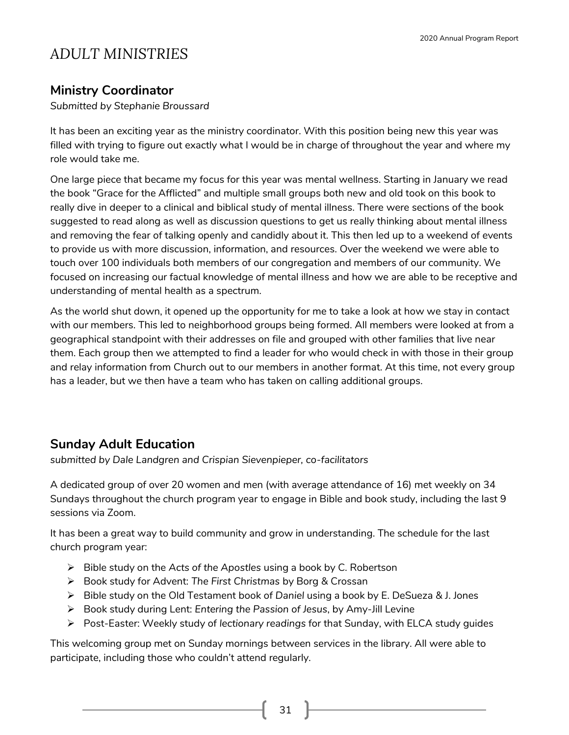### *ADULT MINISTRIES*

#### **Ministry Coordinator**

*Submitted by Stephanie Broussard*

It has been an exciting year as the ministry coordinator. With this position being new this year was filled with trying to figure out exactly what I would be in charge of throughout the year and where my role would take me.

One large piece that became my focus for this year was mental wellness. Starting in January we read the book "Grace for the Afflicted" and multiple small groups both new and old took on this book to really dive in deeper to a clinical and biblical study of mental illness. There were sections of the book suggested to read along as well as discussion questions to get us really thinking about mental illness and removing the fear of talking openly and candidly about it. This then led up to a weekend of events to provide us with more discussion, information, and resources. Over the weekend we were able to touch over 100 individuals both members of our congregation and members of our community. We focused on increasing our factual knowledge of mental illness and how we are able to be receptive and understanding of mental health as a spectrum.

As the world shut down, it opened up the opportunity for me to take a look at how we stay in contact with our members. This led to neighborhood groups being formed. All members were looked at from a geographical standpoint with their addresses on file and grouped with other families that live near them. Each group then we attempted to find a leader for who would check in with those in their group and relay information from Church out to our members in another format. At this time, not every group has a leader, but we then have a team who has taken on calling additional groups.

#### **Sunday Adult Education**

*submitted by Dale Landgren and Crispian Sievenpieper, co-facilitators*

A dedicated group of over 20 women and men (with average attendance of 16) met weekly on 34 Sundays throughout the church program year to engage in Bible and book study, including the last 9 sessions via Zoom.

It has been a great way to build community and grow in understanding. The schedule for the last church program year:

- Bible study on the *Acts of the Apostles* using a book by C. Robertson
- Book study for Advent: *The First Christmas* by Borg & Crossan
- Bible study on the Old Testament book of *Daniel* using a book by E. DeSueza & J. Jones
- Book study during Lent: *Entering the Passion of Jesus*, by Amy-Jill Levine
- Post-Easter: Weekly study of *lectionary readings* for that Sunday, with ELCA study guides

This welcoming group met on Sunday mornings between services in the library. All were able to participate, including those who couldn't attend regularly.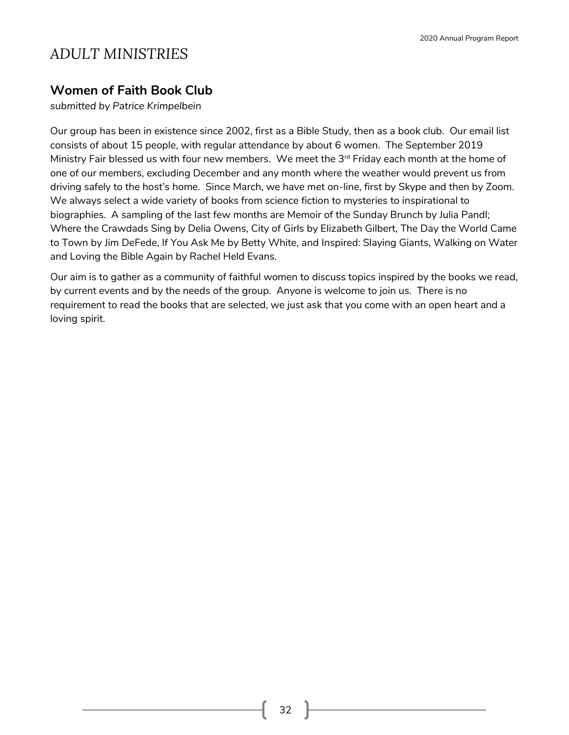### *ADULT MINISTRIES*

#### **Women of Faith Book Club**

*submitted by Patrice Krimpelbein*

Our group has been in existence since 2002, first as a Bible Study, then as a book club. Our email list consists of about 15 people, with regular attendance by about 6 women. The September 2019 Ministry Fair blessed us with four new members. We meet the 3<sup>rd</sup> Friday each month at the home of one of our members, excluding December and any month where the weather would prevent us from driving safely to the host's home. Since March, we have met on-line, first by Skype and then by Zoom. We always select a wide variety of books from science fiction to mysteries to inspirational to biographies. A sampling of the last few months are Memoir of the Sunday Brunch by Julia Pandl; Where the Crawdads Sing by Delia Owens, City of Girls by Elizabeth Gilbert, The Day the World Came to Town by Jim DeFede, If You Ask Me by Betty White, and Inspired: Slaying Giants, Walking on Water and Loving the Bible Again by Rachel Held Evans.

Our aim is to gather as a community of faithful women to discuss topics inspired by the books we read, by current events and by the needs of the group. Anyone is welcome to join us. There is no requirement to read the books that are selected, we just ask that you come with an open heart and a loving spirit.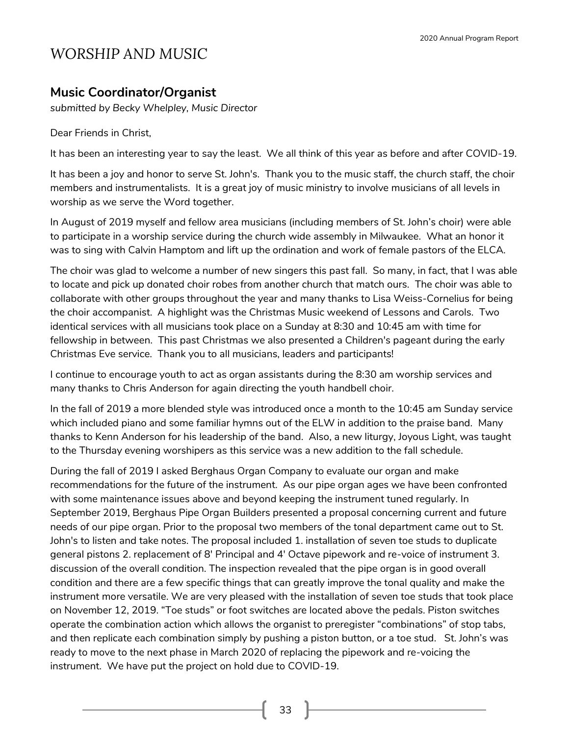### *WORSHIP AND MUSIC*

#### **Music Coordinator/Organist**

*submitted by Becky Whelpley, Music Director*

#### Dear Friends in Christ,

It has been an interesting year to say the least. We all think of this year as before and after COVID-19.

It has been a joy and honor to serve St. John's. Thank you to the music staff, the church staff, the choir members and instrumentalists. It is a great joy of music ministry to involve musicians of all levels in worship as we serve the Word together.

In August of 2019 myself and fellow area musicians (including members of St. John's choir) were able to participate in a worship service during the church wide assembly in Milwaukee. What an honor it was to sing with Calvin Hamptom and lift up the ordination and work of female pastors of the ELCA.

The choir was glad to welcome a number of new singers this past fall. So many, in fact, that I was able to locate and pick up donated choir robes from another church that match ours. The choir was able to collaborate with other groups throughout the year and many thanks to Lisa Weiss-Cornelius for being the choir accompanist. A highlight was the Christmas Music weekend of Lessons and Carols. Two identical services with all musicians took place on a Sunday at 8:30 and 10:45 am with time for fellowship in between. This past Christmas we also presented a Children's pageant during the early Christmas Eve service. Thank you to all musicians, leaders and participants!

I continue to encourage youth to act as organ assistants during the 8:30 am worship services and many thanks to Chris Anderson for again directing the youth handbell choir.

In the fall of 2019 a more blended style was introduced once a month to the 10:45 am Sunday service which included piano and some familiar hymns out of the ELW in addition to the praise band. Many thanks to Kenn Anderson for his leadership of the band. Also, a new liturgy, Joyous Light, was taught to the Thursday evening worshipers as this service was a new addition to the fall schedule.

During the fall of 2019 I asked Berghaus Organ Company to evaluate our organ and make recommendations for the future of the instrument. As our pipe organ ages we have been confronted with some maintenance issues above and beyond keeping the instrument tuned regularly. In September 2019, Berghaus Pipe Organ Builders presented a proposal concerning current and future needs of our pipe organ. Prior to the proposal two members of the tonal department came out to St. John's to listen and take notes. The proposal included 1. installation of seven toe studs to duplicate general pistons 2. replacement of 8' Principal and 4' Octave pipework and re-voice of instrument 3. discussion of the overall condition. The inspection revealed that the pipe organ is in good overall condition and there are a few specific things that can greatly improve the tonal quality and make the instrument more versatile. We are very pleased with the installation of seven toe studs that took place on November 12, 2019. "Toe studs" or foot switches are located above the pedals. Piston switches operate the combination action which allows the organist to preregister "combinations" of stop tabs, and then replicate each combination simply by pushing a piston button, or a toe stud. St. John's was ready to move to the next phase in March 2020 of replacing the pipework and re-voicing the instrument. We have put the project on hold due to COVID-19.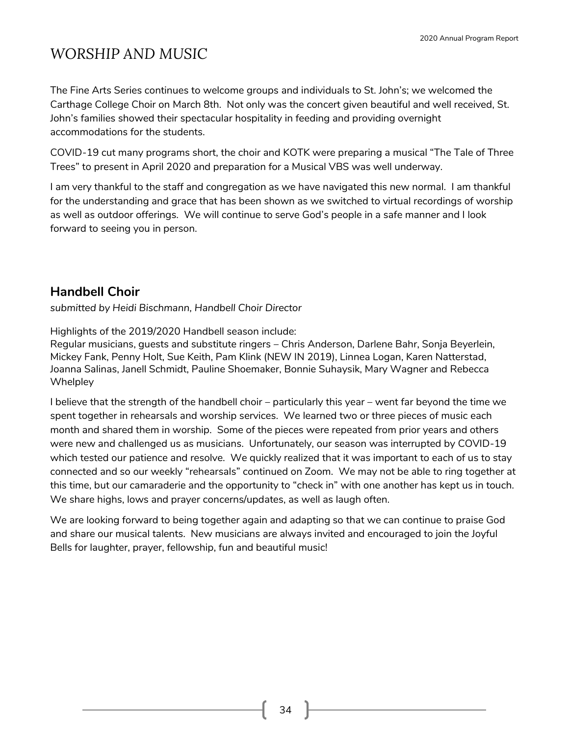### *WORSHIP AND MUSIC*

The Fine Arts Series continues to welcome groups and individuals to St. John's; we welcomed the Carthage College Choir on March 8th. Not only was the concert given beautiful and well received, St. John's families showed their spectacular hospitality in feeding and providing overnight accommodations for the students.

COVID-19 cut many programs short, the choir and KOTK were preparing a musical "The Tale of Three Trees" to present in April 2020 and preparation for a Musical VBS was well underway.

I am very thankful to the staff and congregation as we have navigated this new normal. I am thankful for the understanding and grace that has been shown as we switched to virtual recordings of worship as well as outdoor offerings. We will continue to serve God's people in a safe manner and I look forward to seeing you in person.

#### **Handbell Choir**

*submitted by Heidi Bischmann, Handbell Choir Director*

Highlights of the 2019/2020 Handbell season include:

Regular musicians, guests and substitute ringers – Chris Anderson, Darlene Bahr, Sonja Beyerlein, Mickey Fank, Penny Holt, Sue Keith, Pam Klink (NEW IN 2019), Linnea Logan, Karen Natterstad, Joanna Salinas, Janell Schmidt, Pauline Shoemaker, Bonnie Suhaysik, Mary Wagner and Rebecca **Whelpley** 

I believe that the strength of the handbell choir – particularly this year – went far beyond the time we spent together in rehearsals and worship services. We learned two or three pieces of music each month and shared them in worship. Some of the pieces were repeated from prior years and others were new and challenged us as musicians. Unfortunately, our season was interrupted by COVID-19 which tested our patience and resolve. We quickly realized that it was important to each of us to stay connected and so our weekly "rehearsals" continued on Zoom. We may not be able to ring together at this time, but our camaraderie and the opportunity to "check in" with one another has kept us in touch. We share highs, lows and prayer concerns/updates, as well as laugh often.

We are looking forward to being together again and adapting so that we can continue to praise God and share our musical talents. New musicians are always invited and encouraged to join the Joyful Bells for laughter, prayer, fellowship, fun and beautiful music!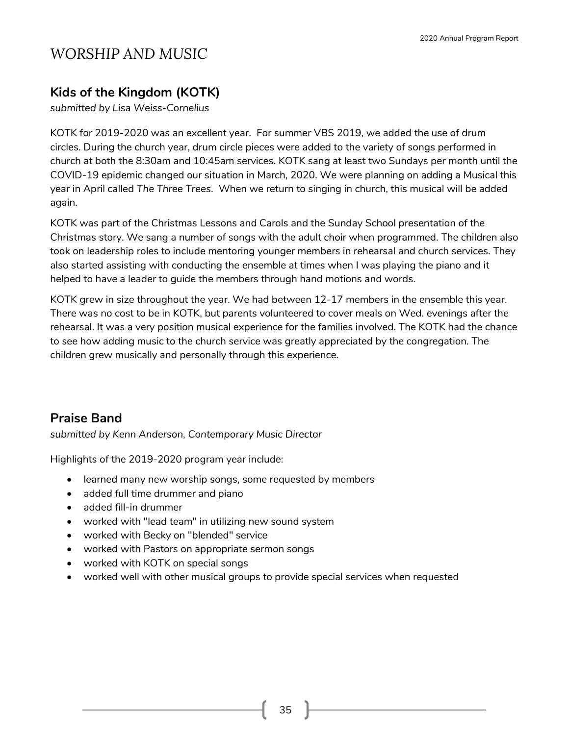### *WORSHIP AND MUSIC*

#### **Kids of the Kingdom (KOTK)**

*submitted by Lisa Weiss-Cornelius*

KOTK for 2019-2020 was an excellent year. For summer VBS 2019, we added the use of drum circles. During the church year, drum circle pieces were added to the variety of songs performed in church at both the 8:30am and 10:45am services. KOTK sang at least two Sundays per month until the COVID-19 epidemic changed our situation in March, 2020. We were planning on adding a Musical this year in April called *The Three Trees*. When we return to singing in church, this musical will be added again.

KOTK was part of the Christmas Lessons and Carols and the Sunday School presentation of the Christmas story. We sang a number of songs with the adult choir when programmed. The children also took on leadership roles to include mentoring younger members in rehearsal and church services. They also started assisting with conducting the ensemble at times when I was playing the piano and it helped to have a leader to guide the members through hand motions and words.

KOTK grew in size throughout the year. We had between 12-17 members in the ensemble this year. There was no cost to be in KOTK, but parents volunteered to cover meals on Wed. evenings after the rehearsal. It was a very position musical experience for the families involved. The KOTK had the chance to see how adding music to the church service was greatly appreciated by the congregation. The children grew musically and personally through this experience.

#### **Praise Band**

*submitted by Kenn Anderson, Contemporary Music Director*

Highlights of the 2019-2020 program year include:

- learned many new worship songs, some requested by members
- added full time drummer and piano
- added fill-in drummer
- worked with "lead team" in utilizing new sound system
- worked with Becky on "blended" service
- worked with Pastors on appropriate sermon songs
- worked with KOTK on special songs
- worked well with other musical groups to provide special services when requested